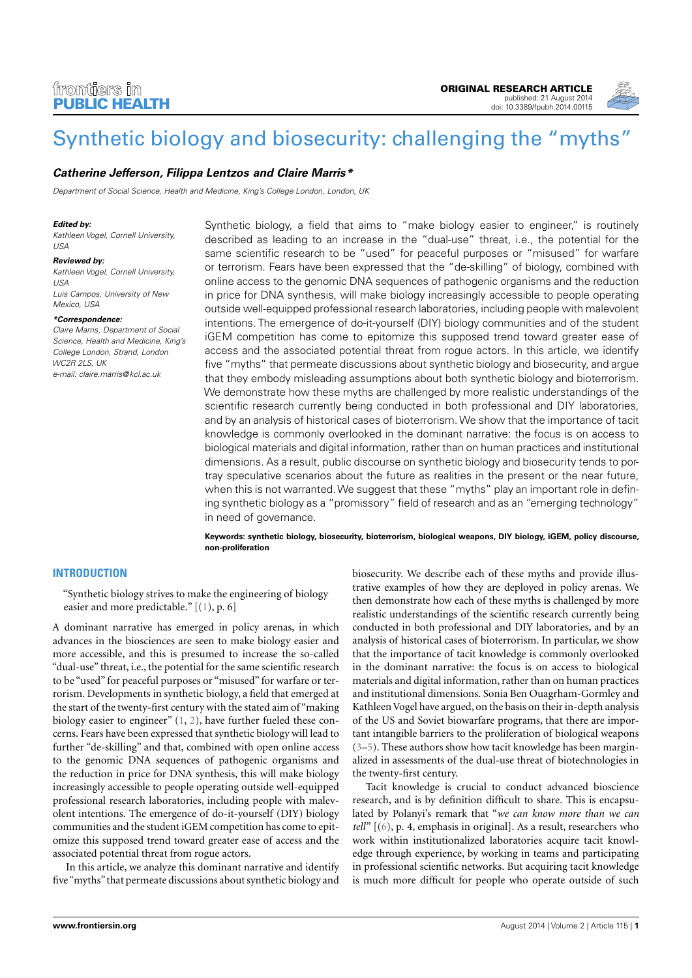

# [Synthetic biology and biosecurity: challenging the "myths"](http://www.frontiersin.org/Journal/10.3389/fpubh.2014.00115/abstract)

# **[Catherine Jefferson,](http://www.frontiersin.org/people/u/126370) Filippa Lentzos and [Claire Marris\\*](http://www.frontiersin.org/people/u/166023)**

Department of Social Science, Health and Medicine, King's College London, London, UK

#### **Edited by:**

Kathleen Vogel, Cornell University, USA

#### **Reviewed by:**

Kathleen Vogel, Cornell University,  $1ISA$ Luis Campos, University of New Mexico, USA

#### **\*Correspondence:**

Claire Marris, Department of Social Science, Health and Medicine, King's College London, Strand, London WC2R 2LS, UK e-mail: [claire.marris@kcl.ac.uk](mailto:claire.marris@kcl.ac.uk)

Synthetic biology, a field that aims to "make biology easier to engineer," is routinely described as leading to an increase in the "dual-use" threat, i.e., the potential for the same scientific research to be "used" for peaceful purposes or "misused" for warfare or terrorism. Fears have been expressed that the "de-skilling" of biology, combined with online access to the genomic DNA sequences of pathogenic organisms and the reduction in price for DNA synthesis, will make biology increasingly accessible to people operating outside well-equipped professional research laboratories, including people with malevolent intentions. The emergence of do-it-yourself (DIY) biology communities and of the student iGEM competition has come to epitomize this supposed trend toward greater ease of access and the associated potential threat from rogue actors. In this article, we identify five "myths" that permeate discussions about synthetic biology and biosecurity, and argue that they embody misleading assumptions about both synthetic biology and bioterrorism. We demonstrate how these myths are challenged by more realistic understandings of the scientific research currently being conducted in both professional and DIY laboratories, and by an analysis of historical cases of bioterrorism. We show that the importance of tacit knowledge is commonly overlooked in the dominant narrative: the focus is on access to biological materials and digital information, rather than on human practices and institutional dimensions. As a result, public discourse on synthetic biology and biosecurity tends to portray speculative scenarios about the future as realities in the present or the near future, when this is not warranted. We suggest that these "myths" play an important role in defining synthetic biology as a "promissory" field of research and as an "emerging technology" in need of governance.

**Keywords: synthetic biology, biosecurity, bioterrorism, biological weapons, DIY biology, iGEM, policy discourse, non-proliferation**

# **INTRODUCTION**

"Synthetic biology strives to make the engineering of biology easier and more predictable." [[\(1\)](#page-12-0), p. 6]

A dominant narrative has emerged in policy arenas, in which advances in the biosciences are seen to make biology easier and more accessible, and this is presumed to increase the so-called "dual-use" threat, i.e., the potential for the same scientific research to be "used" for peaceful purposes or "misused" for warfare or terrorism. Developments in synthetic biology, a field that emerged at the start of the twenty-first century with the stated aim of "making biology easier to engineer" [\(1,](#page-12-0) [2\)](#page-12-1), have further fueled these concerns. Fears have been expressed that synthetic biology will lead to further "de-skilling" and that, combined with open online access to the genomic DNA sequences of pathogenic organisms and the reduction in price for DNA synthesis, this will make biology increasingly accessible to people operating outside well-equipped professional research laboratories, including people with malevolent intentions. The emergence of do-it-yourself (DIY) biology communities and the student iGEM competition has come to epitomize this supposed trend toward greater ease of access and the associated potential threat from rogue actors.

In this article, we analyze this dominant narrative and identify five "myths" that permeate discussions about synthetic biology and biosecurity. We describe each of these myths and provide illustrative examples of how they are deployed in policy arenas. We then demonstrate how each of these myths is challenged by more realistic understandings of the scientific research currently being conducted in both professional and DIY laboratories, and by an analysis of historical cases of bioterrorism. In particular, we show that the importance of tacit knowledge is commonly overlooked in the dominant narrative: the focus is on access to biological materials and digital information, rather than on human practices and institutional dimensions. Sonia Ben Ouagrham-Gormley and Kathleen Vogel have argued, on the basis on their in-depth analysis of the US and Soviet biowarfare programs, that there are important intangible barriers to the proliferation of biological weapons [\(3](#page-12-2)[–5\)](#page-12-3). These authors show how tacit knowledge has been marginalized in assessments of the dual-use threat of biotechnologies in the twenty-first century.

Tacit knowledge is crucial to conduct advanced bioscience research, and is by definition difficult to share. This is encapsulated by Polanyi's remark that "*we can know more than we can tell*" [[\(6\)](#page-12-4), p. 4, emphasis in original]. As a result, researchers who work within institutionalized laboratories acquire tacit knowledge through experience, by working in teams and participating in professional scientific networks. But acquiring tacit knowledge is much more difficult for people who operate outside of such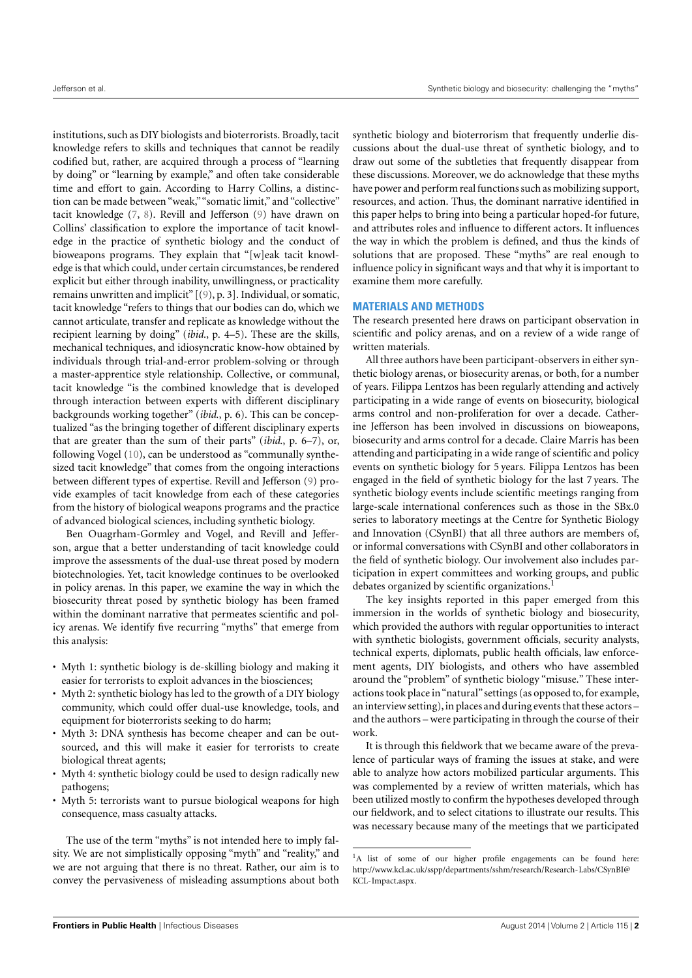institutions, such as DIY biologists and bioterrorists. Broadly, tacit knowledge refers to skills and techniques that cannot be readily codified but, rather, are acquired through a process of "learning by doing" or "learning by example," and often take considerable time and effort to gain. According to Harry Collins, a distinction can be made between "weak,""somatic limit," and "collective" tacit knowledge [\(7,](#page-12-5) [8\)](#page-12-6). Revill and Jefferson [\(9\)](#page-12-7) have drawn on Collins' classification to explore the importance of tacit knowledge in the practice of synthetic biology and the conduct of bioweapons programs. They explain that "[w]eak tacit knowledge is that which could, under certain circumstances, be rendered explicit but either through inability, unwillingness, or practicality remains unwritten and implicit" [[\(9\)](#page-12-7), p. 3]. Individual, or somatic, tacit knowledge "refers to things that our bodies can do, which we cannot articulate, transfer and replicate as knowledge without the recipient learning by doing" (*ibid*., p. 4–5). These are the skills, mechanical techniques, and idiosyncratic know-how obtained by individuals through trial-and-error problem-solving or through a master-apprentice style relationship. Collective, or communal, tacit knowledge "is the combined knowledge that is developed through interaction between experts with different disciplinary backgrounds working together" (*ibid*., p. 6). This can be conceptualized "as the bringing together of different disciplinary experts that are greater than the sum of their parts" (*ibid*., p. 6–7), or, following Vogel [\(10\)](#page-12-8), can be understood as "communally synthesized tacit knowledge" that comes from the ongoing interactions between different types of expertise. Revill and Jefferson [\(9\)](#page-12-7) provide examples of tacit knowledge from each of these categories from the history of biological weapons programs and the practice of advanced biological sciences, including synthetic biology.

Ben Ouagrham-Gormley and Vogel, and Revill and Jefferson, argue that a better understanding of tacit knowledge could improve the assessments of the dual-use threat posed by modern biotechnologies. Yet, tacit knowledge continues to be overlooked in policy arenas. In this paper, we examine the way in which the biosecurity threat posed by synthetic biology has been framed within the dominant narrative that permeates scientific and policy arenas. We identify five recurring "myths" that emerge from this analysis:

- Myth 1: synthetic biology is de-skilling biology and making it easier for terrorists to exploit advances in the biosciences;
- Myth 2: synthetic biology has led to the growth of a DIY biology community, which could offer dual-use knowledge, tools, and equipment for bioterrorists seeking to do harm;
- Myth 3: DNA synthesis has become cheaper and can be outsourced, and this will make it easier for terrorists to create biological threat agents;
- Myth 4: synthetic biology could be used to design radically new pathogens;
- Myth 5: terrorists want to pursue biological weapons for high consequence, mass casualty attacks.

The use of the term "myths" is not intended here to imply falsity. We are not simplistically opposing "myth" and "reality," and we are not arguing that there is no threat. Rather, our aim is to convey the pervasiveness of misleading assumptions about both

synthetic biology and bioterrorism that frequently underlie discussions about the dual-use threat of synthetic biology, and to draw out some of the subtleties that frequently disappear from these discussions. Moreover, we do acknowledge that these myths have power and perform real functions such as mobilizing support, resources, and action. Thus, the dominant narrative identified in this paper helps to bring into being a particular hoped-for future, and attributes roles and influence to different actors. It influences the way in which the problem is defined, and thus the kinds of solutions that are proposed. These "myths" are real enough to influence policy in significant ways and that why it is important to examine them more carefully.

# **MATERIALS AND METHODS**

The research presented here draws on participant observation in scientific and policy arenas, and on a review of a wide range of written materials.

All three authors have been participant-observers in either synthetic biology arenas, or biosecurity arenas, or both, for a number of years. Filippa Lentzos has been regularly attending and actively participating in a wide range of events on biosecurity, biological arms control and non-proliferation for over a decade. Catherine Jefferson has been involved in discussions on bioweapons, biosecurity and arms control for a decade. Claire Marris has been attending and participating in a wide range of scientific and policy events on synthetic biology for 5 years. Filippa Lentzos has been engaged in the field of synthetic biology for the last 7 years. The synthetic biology events include scientific meetings ranging from large-scale international conferences such as those in the SBx.0 series to laboratory meetings at the Centre for Synthetic Biology and Innovation (CSynBI) that all three authors are members of, or informal conversations with CSynBI and other collaborators in the field of synthetic biology. Our involvement also includes participation in expert committees and working groups, and public debates organized by scientific organizations.<sup>[1](#page-1-0)</sup>

The key insights reported in this paper emerged from this immersion in the worlds of synthetic biology and biosecurity, which provided the authors with regular opportunities to interact with synthetic biologists, government officials, security analysts, technical experts, diplomats, public health officials, law enforcement agents, DIY biologists, and others who have assembled around the "problem" of synthetic biology "misuse." These interactions took place in "natural" settings (as opposed to, for example, an interview setting), in places and during events that these actors – and the authors – were participating in through the course of their work.

It is through this fieldwork that we became aware of the prevalence of particular ways of framing the issues at stake, and were able to analyze how actors mobilized particular arguments. This was complemented by a review of written materials, which has been utilized mostly to confirm the hypotheses developed through our fieldwork, and to select citations to illustrate our results. This was necessary because many of the meetings that we participated

<span id="page-1-0"></span><sup>&</sup>lt;sup>1</sup>A list of some of our higher profile engagements can be found here: [http://www.kcl.ac.uk/sspp/departments/sshm/research/Research-Labs/CSynBI@](http://www.kcl.ac.uk/sspp/departments/sshm/research/Research-Labs/CSynBI@KCL-Impact.aspx) [KCL-Impact.aspx.](http://www.kcl.ac.uk/sspp/departments/sshm/research/Research-Labs/CSynBI@KCL-Impact.aspx)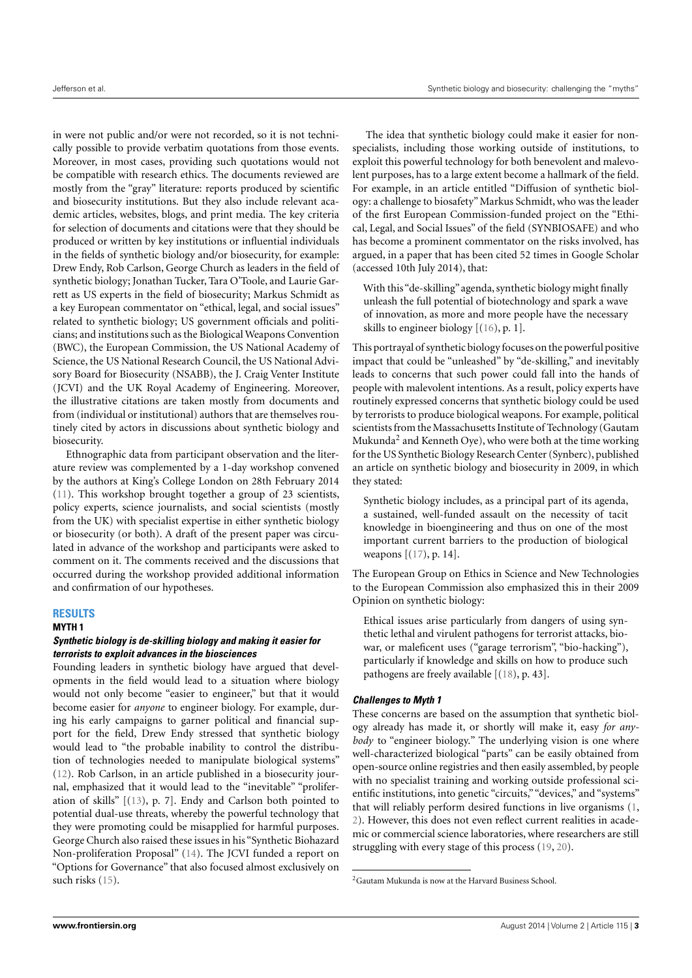in were not public and/or were not recorded, so it is not technically possible to provide verbatim quotations from those events. Moreover, in most cases, providing such quotations would not be compatible with research ethics. The documents reviewed are mostly from the "gray" literature: reports produced by scientific and biosecurity institutions. But they also include relevant academic articles, websites, blogs, and print media. The key criteria for selection of documents and citations were that they should be produced or written by key institutions or influential individuals in the fields of synthetic biology and/or biosecurity, for example: Drew Endy, Rob Carlson, George Church as leaders in the field of synthetic biology; Jonathan Tucker, Tara O'Toole, and Laurie Garrett as US experts in the field of biosecurity; Markus Schmidt as a key European commentator on "ethical, legal, and social issues" related to synthetic biology; US government officials and politicians; and institutions such as the Biological Weapons Convention (BWC), the European Commission, the US National Academy of Science, the US National Research Council, the US National Advisory Board for Biosecurity (NSABB), the J. Craig Venter Institute (JCVI) and the UK Royal Academy of Engineering. Moreover, the illustrative citations are taken mostly from documents and from (individual or institutional) authors that are themselves routinely cited by actors in discussions about synthetic biology and biosecurity.

Ethnographic data from participant observation and the literature review was complemented by a 1-day workshop convened by the authors at King's College London on 28th February 2014 [\(11\)](#page-12-9). This workshop brought together a group of 23 scientists, policy experts, science journalists, and social scientists (mostly from the UK) with specialist expertise in either synthetic biology or biosecurity (or both). A draft of the present paper was circulated in advance of the workshop and participants were asked to comment on it. The comments received and the discussions that occurred during the workshop provided additional information and confirmation of our hypotheses.

# **RESULTS**

**MYTH 1**

# **Synthetic biology is de-skilling biology and making it easier for terrorists to exploit advances in the biosciences**

Founding leaders in synthetic biology have argued that developments in the field would lead to a situation where biology would not only become "easier to engineer," but that it would become easier for *anyone* to engineer biology. For example, during his early campaigns to garner political and financial support for the field, Drew Endy stressed that synthetic biology would lead to "the probable inability to control the distribution of technologies needed to manipulate biological systems" [\(12\)](#page-12-10). Rob Carlson, in an article published in a biosecurity journal, emphasized that it would lead to the "inevitable" "proliferation of skills" [[\(13\)](#page-13-0), p. 7]. Endy and Carlson both pointed to potential dual-use threats, whereby the powerful technology that they were promoting could be misapplied for harmful purposes. George Church also raised these issues in his "Synthetic Biohazard Non-proliferation Proposal" [\(14\)](#page-13-1). The JCVI funded a report on "Options for Governance" that also focused almost exclusively on such risks [\(15\)](#page-13-2).

The idea that synthetic biology could make it easier for nonspecialists, including those working outside of institutions, to exploit this powerful technology for both benevolent and malevolent purposes, has to a large extent become a hallmark of the field. For example, in an article entitled "Diffusion of synthetic biology: a challenge to biosafety" Markus Schmidt, who was the leader of the first European Commission-funded project on the "Ethical, Legal, and Social Issues" of the field (SYNBIOSAFE) and who has become a prominent commentator on the risks involved, has argued, in a paper that has been cited 52 times in Google Scholar (accessed 10th July 2014), that:

With this"de-skilling"agenda, synthetic biology might finally unleash the full potential of biotechnology and spark a wave of innovation, as more and more people have the necessary skills to engineer biology [[\(16\)](#page-13-3), p. 1].

This portrayal of synthetic biology focuses on the powerful positive impact that could be "unleashed" by "de-skilling," and inevitably leads to concerns that such power could fall into the hands of people with malevolent intentions. As a result, policy experts have routinely expressed concerns that synthetic biology could be used by terrorists to produce biological weapons. For example, political scientists from the Massachusetts Institute of Technology (Gautam Mukunda[2](#page-2-0) and Kenneth Oye), who were both at the time working for the US Synthetic Biology Research Center (Synberc), published an article on synthetic biology and biosecurity in 2009, in which they stated:

Synthetic biology includes, as a principal part of its agenda, a sustained, well-funded assault on the necessity of tacit knowledge in bioengineering and thus on one of the most important current barriers to the production of biological weapons [[\(17\)](#page-13-4), p. 14].

The European Group on Ethics in Science and New Technologies to the European Commission also emphasized this in their 2009 Opinion on synthetic biology:

Ethical issues arise particularly from dangers of using synthetic lethal and virulent pathogens for terrorist attacks, biowar, or maleficent uses ("garage terrorism", "bio-hacking"), particularly if knowledge and skills on how to produce such pathogens are freely available [[\(18\)](#page-13-5), p. 43].

# **Challenges to Myth 1**

These concerns are based on the assumption that synthetic biology already has made it, or shortly will make it, easy *for anybody* to "engineer biology." The underlying vision is one where well-characterized biological "parts" can be easily obtained from open-source online registries and then easily assembled, by people with no specialist training and working outside professional scientific institutions, into genetic "circuits,""devices," and "systems" that will reliably perform desired functions in live organisms [\(1,](#page-12-0) [2\)](#page-12-1). However, this does not even reflect current realities in academic or commercial science laboratories, where researchers are still struggling with every stage of this process [\(19,](#page-13-6) [20\)](#page-13-7).

<span id="page-2-0"></span><sup>2</sup>Gautam Mukunda is now at the Harvard Business School.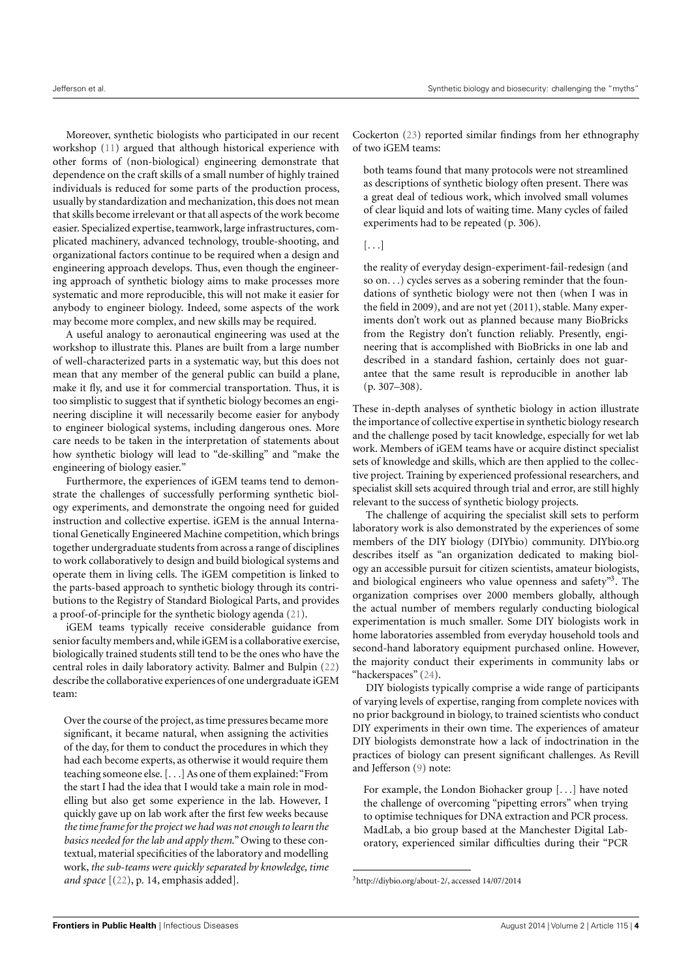Moreover, synthetic biologists who participated in our recent workshop [\(11\)](#page-12-9) argued that although historical experience with other forms of (non-biological) engineering demonstrate that dependence on the craft skills of a small number of highly trained individuals is reduced for some parts of the production process, usually by standardization and mechanization, this does not mean that skills become irrelevant or that all aspects of the work become easier. Specialized expertise, teamwork, large infrastructures, complicated machinery, advanced technology, trouble-shooting, and organizational factors continue to be required when a design and engineering approach develops. Thus, even though the engineering approach of synthetic biology aims to make processes more systematic and more reproducible, this will not make it easier for anybody to engineer biology. Indeed, some aspects of the work may become more complex, and new skills may be required.

A useful analogy to aeronautical engineering was used at the workshop to illustrate this. Planes are built from a large number of well-characterized parts in a systematic way, but this does not mean that any member of the general public can build a plane, make it fly, and use it for commercial transportation. Thus, it is too simplistic to suggest that if synthetic biology becomes an engineering discipline it will necessarily become easier for anybody to engineer biological systems, including dangerous ones. More care needs to be taken in the interpretation of statements about how synthetic biology will lead to "de-skilling" and "make the engineering of biology easier."

Furthermore, the experiences of iGEM teams tend to demonstrate the challenges of successfully performing synthetic biology experiments, and demonstrate the ongoing need for guided instruction and collective expertise. iGEM is the annual International Genetically Engineered Machine competition, which brings together undergraduate students from across a range of disciplines to work collaboratively to design and build biological systems and operate them in living cells. The iGEM competition is linked to the parts-based approach to synthetic biology through its contributions to the Registry of Standard Biological Parts, and provides a proof-of-principle for the synthetic biology agenda [\(21\)](#page-13-8).

iGEM teams typically receive considerable guidance from senior faculty members and, while iGEM is a collaborative exercise, biologically trained students still tend to be the ones who have the central roles in daily laboratory activity. Balmer and Bulpin [\(22\)](#page-13-9) describe the collaborative experiences of one undergraduate iGEM team:

Over the course of the project, as time pressures became more significant, it became natural, when assigning the activities of the day, for them to conduct the procedures in which they had each become experts, as otherwise it would require them teaching someone else. [. . .] As one of them explained:"From the start I had the idea that I would take a main role in modelling but also get some experience in the lab. However, I quickly gave up on lab work after the first few weeks because *the time frame for the project we had was not enough to learn the basics needed for the lab and apply them*." Owing to these contextual, material specificities of the laboratory and modelling work, *the sub-teams were quickly separated by knowledge, time and space* [[\(22\)](#page-13-9), p. 14, emphasis added].

Cockerton [\(23\)](#page-13-10) reported similar findings from her ethnography of two iGEM teams:

both teams found that many protocols were not streamlined as descriptions of synthetic biology often present. There was a great deal of tedious work, which involved small volumes of clear liquid and lots of waiting time. Many cycles of failed experiments had to be repeated (p. 306).

# $[...]$

the reality of everyday design-experiment-fail-redesign (and so on. . .) cycles serves as a sobering reminder that the foundations of synthetic biology were not then (when I was in the field in 2009), and are not yet (2011), stable. Many experiments don't work out as planned because many BioBricks from the Registry don't function reliably. Presently, engineering that is accomplished with BioBricks in one lab and described in a standard fashion, certainly does not guarantee that the same result is reproducible in another lab (p. 307–308).

These in-depth analyses of synthetic biology in action illustrate the importance of collective expertise in synthetic biology research and the challenge posed by tacit knowledge, especially for wet lab work. Members of iGEM teams have or acquire distinct specialist sets of knowledge and skills, which are then applied to the collective project. Training by experienced professional researchers, and specialist skill sets acquired through trial and error, are still highly relevant to the success of synthetic biology projects.

The challenge of acquiring the specialist skill sets to perform laboratory work is also demonstrated by the experiences of some members of the DIY biology (DIYbio) community. [DIYbio.org](http://DIYbio.org) describes itself as "an organization dedicated to making biology an accessible pursuit for citizen scientists, amateur biologists, and biological engineers who value openness and safety"[3](#page-3-0). The organization comprises over 2000 members globally, although the actual number of members regularly conducting biological experimentation is much smaller. Some DIY biologists work in home laboratories assembled from everyday household tools and second-hand laboratory equipment purchased online. However, the majority conduct their experiments in community labs or "hackerspaces" [\(24\)](#page-13-11).

DIY biologists typically comprise a wide range of participants of varying levels of expertise, ranging from complete novices with no prior background in biology, to trained scientists who conduct DIY experiments in their own time. The experiences of amateur DIY biologists demonstrate how a lack of indoctrination in the practices of biology can present significant challenges. As Revill and Jefferson [\(9\)](#page-12-7) note:

For example, the London Biohacker group [. . .] have noted the challenge of overcoming "pipetting errors" when trying to optimise techniques for DNA extraction and PCR process. MadLab, a bio group based at the Manchester Digital Laboratory, experienced similar difficulties during their "PCR

<span id="page-3-0"></span><sup>3</sup>[http://diybio.org/about-2/,](http://diybio.org/about-2/) accessed 14/07/2014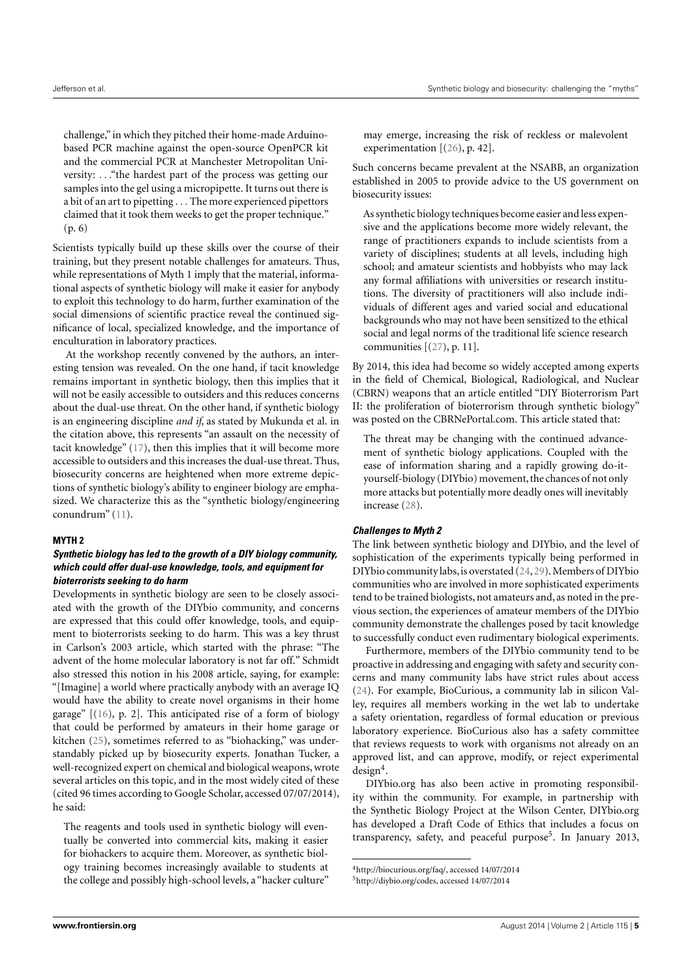challenge," in which they pitched their home-made Arduinobased PCR machine against the open-source OpenPCR kit and the commercial PCR at Manchester Metropolitan University: . . ."the hardest part of the process was getting our samples into the gel using a micropipette. It turns out there is a bit of an art to pipetting . . . The more experienced pipettors claimed that it took them weeks to get the proper technique." (p. 6)

Scientists typically build up these skills over the course of their training, but they present notable challenges for amateurs. Thus, while representations of Myth 1 imply that the material, informational aspects of synthetic biology will make it easier for anybody to exploit this technology to do harm, further examination of the social dimensions of scientific practice reveal the continued significance of local, specialized knowledge, and the importance of enculturation in laboratory practices.

At the workshop recently convened by the authors, an interesting tension was revealed. On the one hand, if tacit knowledge remains important in synthetic biology, then this implies that it will not be easily accessible to outsiders and this reduces concerns about the dual-use threat. On the other hand, if synthetic biology is an engineering discipline *and if*, as stated by Mukunda et al. in the citation above, this represents "an assault on the necessity of tacit knowledge" [\(17\)](#page-13-4), then this implies that it will become more accessible to outsiders and this increases the dual-use threat. Thus, biosecurity concerns are heightened when more extreme depictions of synthetic biology's ability to engineer biology are emphasized. We characterize this as the "synthetic biology/engineering conundrum" [\(11\)](#page-12-9).

#### **MYTH 2**

# **Synthetic biology has led to the growth of a DIY biology community, which could offer dual-use knowledge, tools, and equipment for bioterrorists seeking to do harm**

Developments in synthetic biology are seen to be closely associated with the growth of the DIYbio community, and concerns are expressed that this could offer knowledge, tools, and equipment to bioterrorists seeking to do harm. This was a key thrust in Carlson's 2003 article, which started with the phrase: "The advent of the home molecular laboratory is not far off." Schmidt also stressed this notion in his 2008 article, saying, for example: "[Imagine] a world where practically anybody with an average IQ would have the ability to create novel organisms in their home garage" [[\(16\)](#page-13-3), p. 2]. This anticipated rise of a form of biology that could be performed by amateurs in their home garage or kitchen [\(25\)](#page-13-12), sometimes referred to as "biohacking," was understandably picked up by biosecurity experts. Jonathan Tucker, a well-recognized expert on chemical and biological weapons, wrote several articles on this topic, and in the most widely cited of these (cited 96 times according to Google Scholar, accessed 07/07/2014), he said:

The reagents and tools used in synthetic biology will eventually be converted into commercial kits, making it easier for biohackers to acquire them. Moreover, as synthetic biology training becomes increasingly available to students at the college and possibly high-school levels, a "hacker culture"

may emerge, increasing the risk of reckless or malevolent experimentation [[\(26\)](#page-13-13), p. 42].

Such concerns became prevalent at the NSABB, an organization established in 2005 to provide advice to the US government on biosecurity issues:

As synthetic biology techniques become easier and less expensive and the applications become more widely relevant, the range of practitioners expands to include scientists from a variety of disciplines; students at all levels, including high school; and amateur scientists and hobbyists who may lack any formal affiliations with universities or research institutions. The diversity of practitioners will also include individuals of different ages and varied social and educational backgrounds who may not have been sensitized to the ethical social and legal norms of the traditional life science research communities  $[(27), p. 11]$  $[(27), p. 11]$  $[(27), p. 11]$ .

By 2014, this idea had become so widely accepted among experts in the field of Chemical, Biological, Radiological, and Nuclear (CBRN) weapons that an article entitled "DIY Bioterrorism Part II: the proliferation of bioterrorism through synthetic biology" was posted on the [CBRNePortal.com.](http://CBRNePortal.com) This article stated that:

The threat may be changing with the continued advancement of synthetic biology applications. Coupled with the ease of information sharing and a rapidly growing do-ityourself-biology (DIYbio) movement, the chances of not only more attacks but potentially more deadly ones will inevitably increase [\(28\)](#page-13-15).

#### **Challenges to Myth 2**

The link between synthetic biology and DIYbio, and the level of sophistication of the experiments typically being performed in DIYbio community labs, is overstated [\(24,](#page-13-11) [29\)](#page-13-16). Members of DIYbio communities who are involved in more sophisticated experiments tend to be trained biologists, not amateurs and, as noted in the previous section, the experiences of amateur members of the DIYbio community demonstrate the challenges posed by tacit knowledge to successfully conduct even rudimentary biological experiments.

Furthermore, members of the DIYbio community tend to be proactive in addressing and engaging with safety and security concerns and many community labs have strict rules about access [\(24\)](#page-13-11). For example, BioCurious, a community lab in silicon Valley, requires all members working in the wet lab to undertake a safety orientation, regardless of formal education or previous laboratory experience. BioCurious also has a safety committee that reviews requests to work with organisms not already on an approved list, and can approve, modify, or reject experimental design[4](#page-4-0) .

[DIYbio.org](http://DIYbio.org) has also been active in promoting responsibility within the community. For example, in partnership with the Synthetic Biology Project at the Wilson Center, [DIYbio.org](http://DIYbio.org) has developed a Draft Code of Ethics that includes a focus on transparency, safety, and peaceful purpose<sup>[5](#page-4-1)</sup>. In January 2013,

<span id="page-4-0"></span><sup>4</sup>[http://biocurious.org/faq/,](http://biocurious.org/faq/) accessed 14/07/2014

<span id="page-4-1"></span><sup>5</sup>[http://diybio.org/codes,](http://diybio.org/codes) accessed 14/07/2014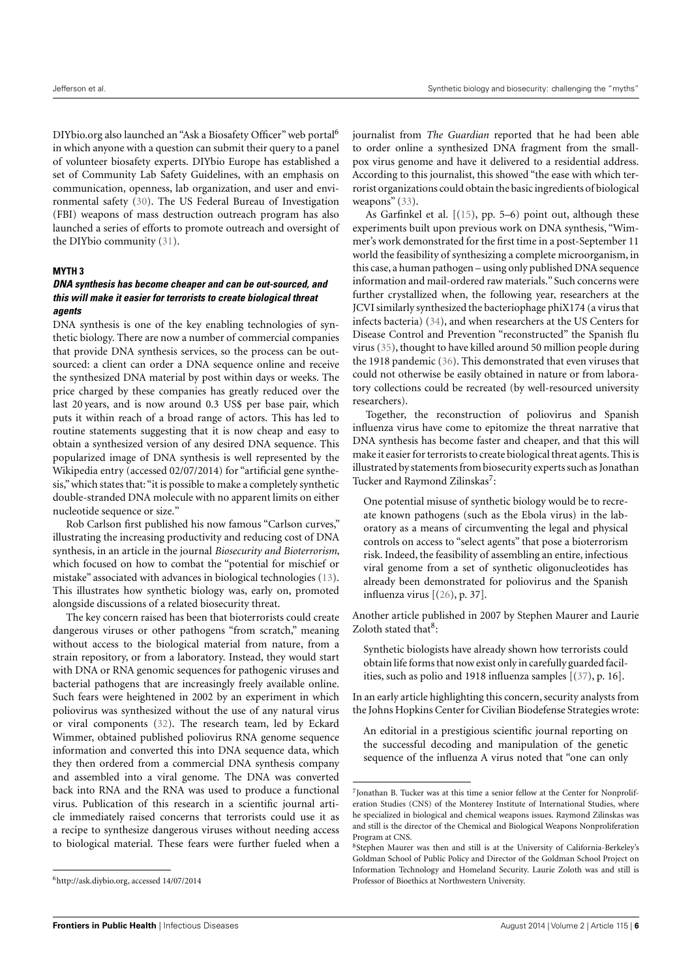[DIYbio.org a](http://DIYbio.org)lso launched an "Ask a Biosafety O[ffi](#page-5-0)cer" web portal<sup>6</sup> in which anyone with a question can submit their query to a panel of volunteer biosafety experts. DIYbio Europe has established a set of Community Lab Safety Guidelines, with an emphasis on communication, openness, lab organization, and user and environmental saf[ety](#page-13-17) (30). The US Federal Bureau of Investigation (FBI) weapons of mass destruction outreach program has also launched a series of efforts to promote outreach and oversight of the DIYbio c[om](#page-13-18)munity (31).

### **MYTH 3**

# **DNA synthesis has become cheaper and can be out-sourced, and this will make it easier for terrorists to create biological threat agents**

DNA synthesis is one of the key enabling technologies of synthetic biology. There are now a number of commercial companies that provide DNA synthesis services, so the process can be outsourced: a client can order a DNA sequence online and receive the synthesized DNA material by post within days or weeks. The price charged by these companies has greatly reduced over the last 20 years, and is now around 0.3 US\$ per base pair, which puts it within reach of a broad range of actors. This has led to routine statements suggesting that it is now cheap and easy to obtain a synthesized version of any desired DNA sequence. This popularized image of DNA synthesis is well represented by the Wikipedia entry (accessed 02/07/2014) for "artificial gene synthesis," which states that:"it is possible to make a completely synthetic double-stranded DNA molecule with no apparent limits on either nucleotide sequence or size."

Rob Carlson first published his now famous "Carlson curves," illustrating the increasing productivity and reducing cost of DNA synthesis, in an article in the journal *Biosecurity and Bioterrorism*, which focused on how to combat the "potential for mischief or mistake" associated with advances in biological technologies [\(13\)](#page-13-0). This illustrates how synthetic biology was, early on, promoted alongside discussions of a related biosecurity threat.

The key concern raised has been that bioterrorists could create dangerous viruses or other pathogens "from scratch," meaning without access to the biological material from nature, from a strain repository, or from a laboratory. Instead, they would start with DNA or RNA genomic sequences for pathogenic viruses and bacterial pathogens that are increasingly freely available online. Such fears were heightened in 2002 by an experiment in which poliovirus was synthesized without the use of any natural virus or viral components [\(32\)](#page-13-19). The research team, led by Eckard Wimmer, obtained published poliovirus RNA genome sequence information and converted this into DNA sequence data, which they then ordered from a commercial DNA synthesis company and assembled into a viral genome. The DNA was converted back into RNA and the RNA was used to produce a functional virus. Publication of this research in a scientific journal article immediately raised concerns that terrorists could use it as a recipe to synthesize dangerous viruses without needing access to biological material. These fears were further fueled when a journalist from *The Guardian* reported that he had been able to order online a synthesized DNA fragment from the smallpox virus genome and have it delivered to a residential address. According to this journalist, this showed "the ease with which terrorist organizations could obtain the basic ingredients of biological weapons" [\(33\)](#page-13-20).

As Garfinkel et al. [[\(15\)](#page-13-2), pp. 5–6) point out, although these experiments built upon previous work on DNA synthesis, "Wimmer's work demonstrated for the first time in a post-September 11 world the feasibility of synthesizing a complete microorganism, in this case, a human pathogen – using only published DNA sequence information and mail-ordered raw materials." Such concerns were further crystallized when, the following year, researchers at the JCVI similarly synthesized the bacteriophage phiX174 (a virus that infects bacteria) [\(34\)](#page-13-21), and when researchers at the US Centers for Disease Control and Prevention "reconstructed" the Spanish flu virus [\(35\)](#page-13-22), thought to have killed around 50 million people during the 1918 pandemic [\(36\)](#page-13-23). This demonstrated that even viruses that could not otherwise be easily obtained in nature or from laboratory collections could be recreated (by well-resourced university researchers).

Together, the reconstruction of poliovirus and Spanish influenza virus have come to epitomize the threat narrative that DNA synthesis has become faster and cheaper, and that this will make it easier for terrorists to create biological threat agents. This is illustrated by statements from biosecurity experts such as Jonathan Tucker and Raymond Zilinskas<sup>[7](#page-5-1)</sup>:

One potential misuse of synthetic biology would be to recreate known pathogens (such as the Ebola virus) in the laboratory as a means of circumventing the legal and physical controls on access to "select agents" that pose a bioterrorism risk. Indeed, the feasibility of assembling an entire, infectious viral genome from a set of synthetic oligonucleotides has already been demonstrated for poliovirus and the Spanish influenza virus [[\(26\)](#page-13-13), p. 37].

Another article published in 2007 by Stephen Maurer and Laurie Zoloth stated that<sup>[8](#page-5-2)</sup>:

Synthetic biologists have already shown how terrorists could obtain life forms that now exist only in carefully guarded facilities, such as polio and 1918 influenza samples [[\(37\)](#page-13-24), p. 16].

In an early article highlighting this concern, security analysts from the Johns Hopkins Center for Civilian Biodefense Strategies wrote:

An editorial in a prestigious scientific journal reporting on the successful decoding and manipulation of the genetic sequence of the influenza A virus noted that "one can only

<span id="page-5-0"></span><sup>6</sup>[http://ask.diybio.org,](http://ask.diybio.org) accessed 14/07/2014

<span id="page-5-1"></span><sup>7</sup> Jonathan B. Tucker was at this time a senior fellow at the Center for Nonproliferation Studies (CNS) of the Monterey Institute of International Studies, where he specialized in biological and chemical weapons issues. Raymond Zilinskas was and still is the director of the Chemical and Biological Weapons Nonproliferation Program at CNS.

<span id="page-5-2"></span><sup>8</sup> Stephen Maurer was then and still is at the University of California-Berkeley's Goldman School of Public Policy and Director of the Goldman School Project on Information Technology and Homeland Security. Laurie Zoloth was and still is Professor of Bioethics at Northwestern University.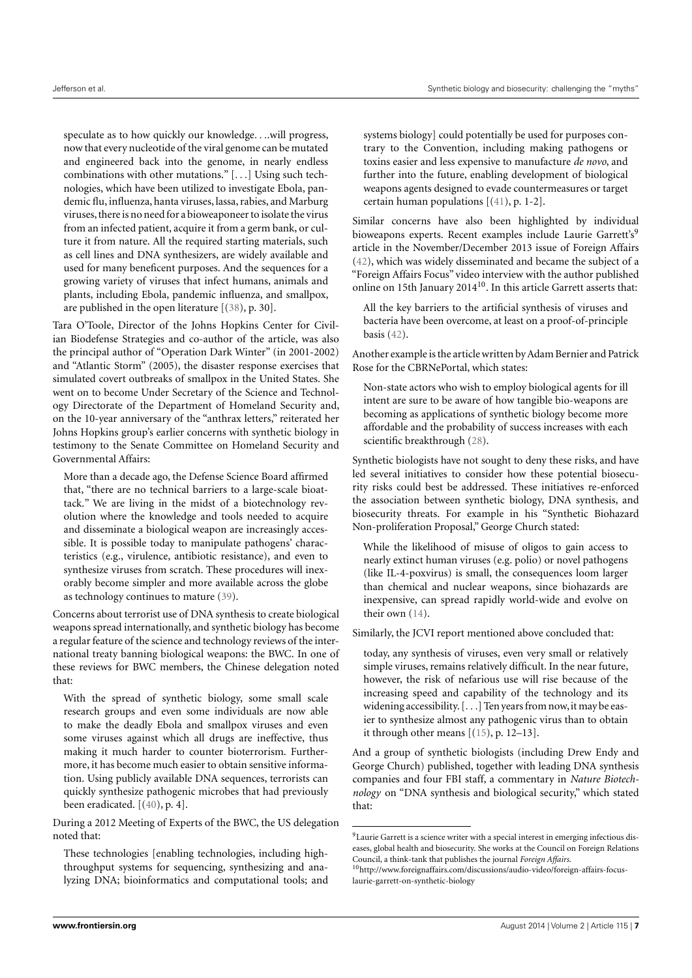speculate as to how quickly our knowledge. . ..will progress, now that every nucleotide of the viral genome can be mutated and engineered back into the genome, in nearly endless combinations with other mutations." [. . .] Using such technologies, which have been utilized to investigate Ebola, pandemic flu, influenza, hanta viruses, lassa, rabies, and Marburg viruses,there is no need for a bioweaponeer to isolate the virus from an infected patient, acquire it from a germ bank, or culture it from nature. All the required starting materials, such as cell lines and DNA synthesizers, are widely available and used for many beneficent purposes. And the sequences for a growing variety of viruses that infect humans, animals and plants, including Ebola, pandemic influenza, and smallpox, are published in the open literature [[\(38\)](#page-13-25), p. 30].

Tara O'Toole, Director of the Johns Hopkins Center for Civilian Biodefense Strategies and co-author of the article, was also the principal author of "Operation Dark Winter" (in 2001-2002) and "Atlantic Storm" (2005), the disaster response exercises that simulated covert outbreaks of smallpox in the United States. She went on to become Under Secretary of the Science and Technology Directorate of the Department of Homeland Security and, on the 10-year anniversary of the "anthrax letters," reiterated her Johns Hopkins group's earlier concerns with synthetic biology in testimony to the Senate Committee on Homeland Security and Governmental Affairs:

More than a decade ago, the Defense Science Board affirmed that, "there are no technical barriers to a large-scale bioattack." We are living in the midst of a biotechnology revolution where the knowledge and tools needed to acquire and disseminate a biological weapon are increasingly accessible. It is possible today to manipulate pathogens' characteristics (e.g., virulence, antibiotic resistance), and even to synthesize viruses from scratch. These procedures will inexorably become simpler and more available across the globe as technology continues to mature [\(39\)](#page-13-26).

Concerns about terrorist use of DNA synthesis to create biological weapons spread internationally, and synthetic biology has become a regular feature of the science and technology reviews of the international treaty banning biological weapons: the BWC. In one of these reviews for BWC members, the Chinese delegation noted that:

With the spread of synthetic biology, some small scale research groups and even some individuals are now able to make the deadly Ebola and smallpox viruses and even some viruses against which all drugs are ineffective, thus making it much harder to counter bioterrorism. Furthermore, it has become much easier to obtain sensitive information. Using publicly available DNA sequences, terrorists can quickly synthesize pathogenic microbes that had previously been eradicated. [[\(40\)](#page-13-27), p. 4].

During a 2012 Meeting of Experts of the BWC, the US delegation noted that:

These technologies [enabling technologies, including highthroughput systems for sequencing, synthesizing and analyzing DNA; bioinformatics and computational tools; and systems biology] could potentially be used for purposes contrary to the Convention, including making pathogens or toxins easier and less expensive to manufacture *de novo*, and further into the future, enabling development of biological weapons agents designed to evade countermeasures or target certain human populations [[\(41\)](#page-13-28), p. 1-2].

Similar concerns have also been highlighted by individual bioweapons experts. Recent examples include Laurie Garrett's<sup>[9](#page-6-0)</sup> article in the November/December 2013 issue of Foreign Affairs [\(42\)](#page-13-29), which was widely disseminated and became the subject of a "Foreign Affairs Focus" video interview with the author published online on 15th January 2014 $^{10}$  $^{10}$  $^{10}$ . In this article Garrett asserts that:

All the key barriers to the artificial synthesis of viruses and bacteria have been overcome, at least on a proof-of-principle basis [\(42\)](#page-13-29).

Another example is the article written by Adam Bernier and Patrick Rose for the CBRNePortal, which states:

Non-state actors who wish to employ biological agents for ill intent are sure to be aware of how tangible bio-weapons are becoming as applications of synthetic biology become more affordable and the probability of success increases with each scientific breakthrough [\(28\)](#page-13-15).

Synthetic biologists have not sought to deny these risks, and have led several initiatives to consider how these potential biosecurity risks could best be addressed. These initiatives re-enforced the association between synthetic biology, DNA synthesis, and biosecurity threats. For example in his "Synthetic Biohazard Non-proliferation Proposal," George Church stated:

While the likelihood of misuse of oligos to gain access to nearly extinct human viruses (e.g. polio) or novel pathogens (like IL-4-poxvirus) is small, the consequences loom larger than chemical and nuclear weapons, since biohazards are inexpensive, can spread rapidly world-wide and evolve on their own [\(14\)](#page-13-1).

Similarly, the JCVI report mentioned above concluded that:

today, any synthesis of viruses, even very small or relatively simple viruses, remains relatively difficult. In the near future, however, the risk of nefarious use will rise because of the increasing speed and capability of the technology and its widening accessibility. [...] Ten years from now, it may be easier to synthesize almost any pathogenic virus than to obtain it through other means  $[(15), p. 12–13]$  $[(15), p. 12–13]$  $[(15), p. 12–13]$ .

And a group of synthetic biologists (including Drew Endy and George Church) published, together with leading DNA synthesis companies and four FBI staff, a commentary in *Nature Biotechnology* on "DNA synthesis and biological security," which stated that:

<span id="page-6-0"></span><sup>9</sup>Laurie Garrett is a science writer with a special interest in emerging infectious diseases, global health and biosecurity. She works at the Council on Foreign Relations Council, a think-tank that publishes the journal *Foreign Affairs*.

<span id="page-6-1"></span><sup>10</sup>[http://www.foreignaffairs.com/discussions/audio-video/foreign-affairs-focus](http://www.foreignaffairs.com/discussions/audio-video/foreign-affairs-focus-laurie-garrett-on-synthetic-biology)[laurie-garrett-on-synthetic-biology](http://www.foreignaffairs.com/discussions/audio-video/foreign-affairs-focus-laurie-garrett-on-synthetic-biology)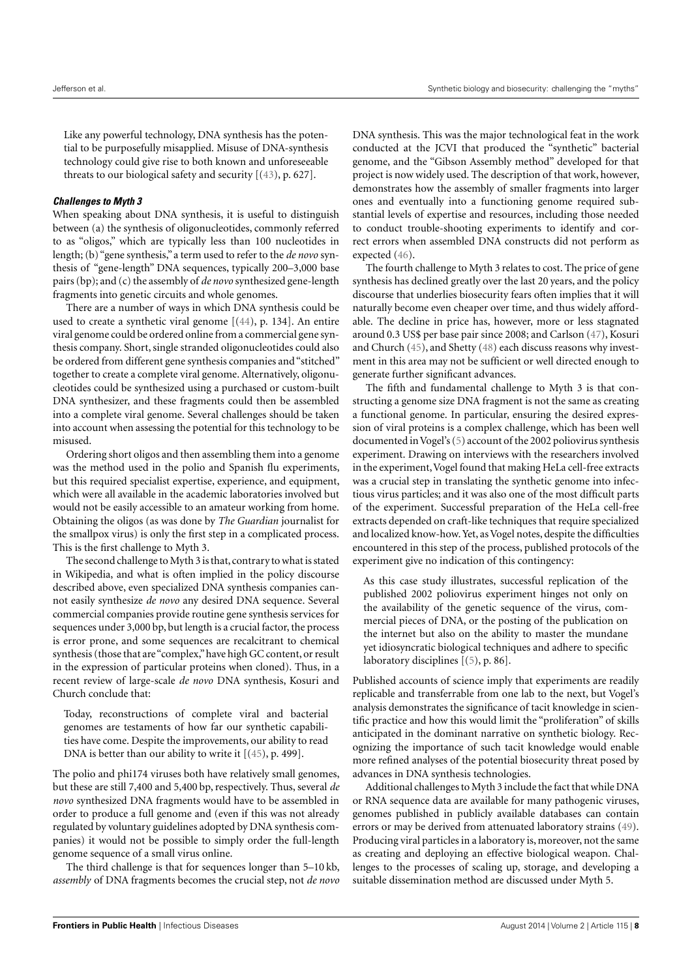Like any powerful technology, DNA synthesis has the potential to be purposefully misapplied. Misuse of DNA-synthesis technology could give rise to both known and unforeseeable threats to our biological safety and security [[\(43\)](#page-13-30), p. 627].

#### **Challenges to Myth 3**

When speaking about DNA synthesis, it is useful to distinguish between (a) the synthesis of oligonucleotides, commonly referred to as "oligos," which are typically less than 100 nucleotides in length; (b) "gene synthesis," a term used to refer to the *de novo* synthesis of "gene-length" DNA sequences, typically 200–3,000 base pairs (bp); and (c) the assembly of *de novo* synthesized gene-length fragments into genetic circuits and whole genomes.

There are a number of ways in which DNA synthesis could be used to create a synthetic viral genome [[\(44\)](#page-13-31), p. 134]. An entire viral genome could be ordered online from a commercial gene synthesis company. Short, single stranded oligonucleotides could also be ordered from different gene synthesis companies and "stitched" together to create a complete viral genome. Alternatively, oligonucleotides could be synthesized using a purchased or custom-built DNA synthesizer, and these fragments could then be assembled into a complete viral genome. Several challenges should be taken into account when assessing the potential for this technology to be misused.

Ordering short oligos and then assembling them into a genome was the method used in the polio and Spanish flu experiments, but this required specialist expertise, experience, and equipment, which were all available in the academic laboratories involved but would not be easily accessible to an amateur working from home. Obtaining the oligos (as was done by *The Guardian* journalist for the smallpox virus) is only the first step in a complicated process. This is the first challenge to Myth 3.

The second challenge to Myth 3 is that, contrary to what is stated in Wikipedia, and what is often implied in the policy discourse described above, even specialized DNA synthesis companies cannot easily synthesize *de novo* any desired DNA sequence. Several commercial companies provide routine gene synthesis services for sequences under 3,000 bp, but length is a crucial factor, the process is error prone, and some sequences are recalcitrant to chemical synthesis (those that are"complex,"have high GC content, or result in the expression of particular proteins when cloned). Thus, in a recent review of large-scale *de novo* DNA synthesis, Kosuri and Church conclude that:

Today, reconstructions of complete viral and bacterial genomes are testaments of how far our synthetic capabilities have come. Despite the improvements, our ability to read DNA is better than our ability to write it [[\(45\)](#page-13-32), p. 499].

The polio and phi174 viruses both have relatively small genomes, but these are still 7,400 and 5,400 bp, respectively. Thus, several *de novo* synthesized DNA fragments would have to be assembled in order to produce a full genome and (even if this was not already regulated by voluntary guidelines adopted by DNA synthesis companies) it would not be possible to simply order the full-length genome sequence of a small virus online.

The third challenge is that for sequences longer than 5–10 kb, *assembly* of DNA fragments becomes the crucial step, not *de novo* DNA synthesis. This was the major technological feat in the work conducted at the JCVI that produced the "synthetic" bacterial genome, and the "Gibson Assembly method" developed for that project is now widely used. The description of that work, however, demonstrates how the assembly of smaller fragments into larger ones and eventually into a functioning genome required substantial levels of expertise and resources, including those needed to conduct trouble-shooting experiments to identify and correct errors when assembled DNA constructs did not perform as expected [\(46\)](#page-13-33).

The fourth challenge to Myth 3 relates to cost. The price of gene synthesis has declined greatly over the last 20 years, and the policy discourse that underlies biosecurity fears often implies that it will naturally become even cheaper over time, and thus widely affordable. The decline in price has, however, more or less stagnated around 0.3 US\$ per base pair since 2008; and Carlson [\(47\)](#page-13-34), Kosuri and Church [\(45\)](#page-13-32), and Shetty [\(48\)](#page-13-35) each discuss reasons why investment in this area may not be sufficient or well directed enough to generate further significant advances.

The fifth and fundamental challenge to Myth 3 is that constructing a genome size DNA fragment is not the same as creating a functional genome. In particular, ensuring the desired expression of viral proteins is a complex challenge, which has been well documented in Vogel's [\(5\)](#page-12-3) account of the 2002 poliovirus synthesis experiment. Drawing on interviews with the researchers involved in the experiment, Vogel found that making HeLa cell-free extracts was a crucial step in translating the synthetic genome into infectious virus particles; and it was also one of the most difficult parts of the experiment. Successful preparation of the HeLa cell-free extracts depended on craft-like techniques that require specialized and localized know-how. Yet, as Vogel notes, despite the difficulties encountered in this step of the process, published protocols of the experiment give no indication of this contingency:

As this case study illustrates, successful replication of the published 2002 poliovirus experiment hinges not only on the availability of the genetic sequence of the virus, commercial pieces of DNA, or the posting of the publication on the internet but also on the ability to master the mundane yet idiosyncratic biological techniques and adhere to specific laboratory disciplines [[\(5\)](#page-12-3), p. 86].

Published accounts of science imply that experiments are readily replicable and transferrable from one lab to the next, but Vogel's analysis demonstrates the significance of tacit knowledge in scientific practice and how this would limit the "proliferation" of skills anticipated in the dominant narrative on synthetic biology. Recognizing the importance of such tacit knowledge would enable more refined analyses of the potential biosecurity threat posed by advances in DNA synthesis technologies.

Additional challenges to Myth 3 include the fact that while DNA or RNA sequence data are available for many pathogenic viruses, genomes published in publicly available databases can contain errors or may be derived from attenuated laboratory strains [\(49\)](#page-13-36). Producing viral particles in a laboratory is, moreover, not the same as creating and deploying an effective biological weapon. Challenges to the processes of scaling up, storage, and developing a suitable dissemination method are discussed under Myth 5.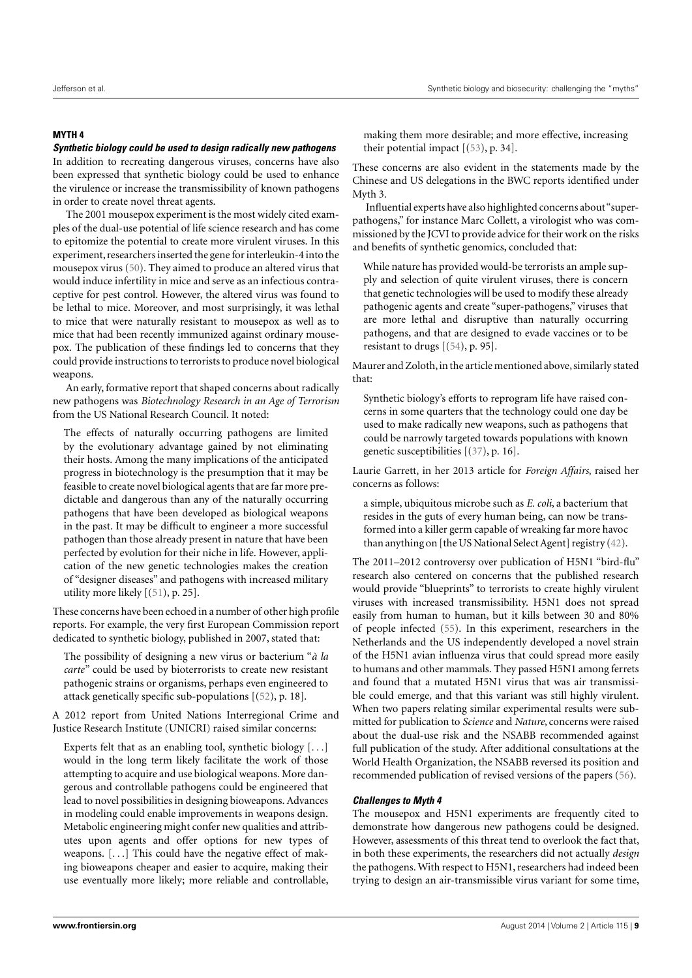# **MYTH 4**

# **Synthetic biology could be used to design radically new pathogens**

In addition to recreating dangerous viruses, concerns have also been expressed that synthetic biology could be used to enhance the virulence or increase the transmissibility of known pathogens in order to create novel threat agents.

The 2001 mousepox experiment is the most widely cited examples of the dual-use potential of life science research and has come to epitomize the potential to create more virulent viruses. In this experiment, researchers inserted the gene for interleukin-4 into the mousepox virus [\(50\)](#page-13-37). They aimed to produce an altered virus that would induce infertility in mice and serve as an infectious contraceptive for pest control. However, the altered virus was found to be lethal to mice. Moreover, and most surprisingly, it was lethal to mice that were naturally resistant to mousepox as well as to mice that had been recently immunized against ordinary mousepox. The publication of these findings led to concerns that they could provide instructions to terrorists to produce novel biological weapons.

An early, formative report that shaped concerns about radically new pathogens was *Biotechnology Research in an Age of Terrorism* from the US National Research Council. It noted:

The effects of naturally occurring pathogens are limited by the evolutionary advantage gained by not eliminating their hosts. Among the many implications of the anticipated progress in biotechnology is the presumption that it may be feasible to create novel biological agents that are far more predictable and dangerous than any of the naturally occurring pathogens that have been developed as biological weapons in the past. It may be difficult to engineer a more successful pathogen than those already present in nature that have been perfected by evolution for their niche in life. However, application of the new genetic technologies makes the creation of "designer diseases" and pathogens with increased military utility more likely [[\(51\)](#page-13-38), p. 25].

These concerns have been echoed in a number of other high profile reports. For example, the very first European Commission report dedicated to synthetic biology, published in 2007, stated that:

The possibility of designing a new virus or bacterium "*à la carte*" could be used by bioterrorists to create new resistant pathogenic strains or organisms, perhaps even engineered to attack genetically specific sub-populations [[\(52\)](#page-13-39), p. 18].

A 2012 report from United Nations Interregional Crime and Justice Research Institute (UNICRI) raised similar concerns:

Experts felt that as an enabling tool, synthetic biology [. . .] would in the long term likely facilitate the work of those attempting to acquire and use biological weapons. More dangerous and controllable pathogens could be engineered that lead to novel possibilities in designing bioweapons. Advances in modeling could enable improvements in weapons design. Metabolic engineering might confer new qualities and attributes upon agents and offer options for new types of weapons. [. . .] This could have the negative effect of making bioweapons cheaper and easier to acquire, making their use eventually more likely; more reliable and controllable,

making them more desirable; and more effective, increasing their potential impact  $[(53), p. 34]$  $[(53), p. 34]$  $[(53), p. 34]$ .

These concerns are also evident in the statements made by the Chinese and US delegations in the BWC reports identified under Myth 3.

Influential experts have also highlighted concerns about"superpathogens," for instance Marc Collett, a virologist who was commissioned by the JCVI to provide advice for their work on the risks and benefits of synthetic genomics, concluded that:

While nature has provided would-be terrorists an ample supply and selection of quite virulent viruses, there is concern that genetic technologies will be used to modify these already pathogenic agents and create "super-pathogens," viruses that are more lethal and disruptive than naturally occurring pathogens, and that are designed to evade vaccines or to be resistant to drugs [[\(54\)](#page-13-41), p. 95].

Maurer and Zoloth, in the article mentioned above, similarly stated that:

Synthetic biology's efforts to reprogram life have raised concerns in some quarters that the technology could one day be used to make radically new weapons, such as pathogens that could be narrowly targeted towards populations with known genetic susceptibilities [[\(37\)](#page-13-24), p. 16].

Laurie Garrett, in her 2013 article for *Foreign Affairs*, raised her concerns as follows:

a simple, ubiquitous microbe such as *E. coli*, a bacterium that resides in the guts of every human being, can now be transformed into a killer germ capable of wreaking far more havoc than anything on [the US National Select Agent] registry [\(42\)](#page-13-29).

The 2011–2012 controversy over publication of H5N1 "bird-flu" research also centered on concerns that the published research would provide "blueprints" to terrorists to create highly virulent viruses with increased transmissibility. H5N1 does not spread easily from human to human, but it kills between 30 and 80% of people infected [\(55\)](#page-13-42). In this experiment, researchers in the Netherlands and the US independently developed a novel strain of the H5N1 avian influenza virus that could spread more easily to humans and other mammals. They passed H5N1 among ferrets and found that a mutated H5N1 virus that was air transmissible could emerge, and that this variant was still highly virulent. When two papers relating similar experimental results were submitted for publication to *Science* and *Nature*, concerns were raised about the dual-use risk and the NSABB recommended against full publication of the study. After additional consultations at the World Health Organization, the NSABB reversed its position and recommended publication of revised versions of the papers [\(56\)](#page-13-43).

# **Challenges to Myth 4**

The mousepox and H5N1 experiments are frequently cited to demonstrate how dangerous new pathogens could be designed. However, assessments of this threat tend to overlook the fact that, in both these experiments, the researchers did not actually *design* the pathogens. With respect to H5N1, researchers had indeed been trying to design an air-transmissible virus variant for some time,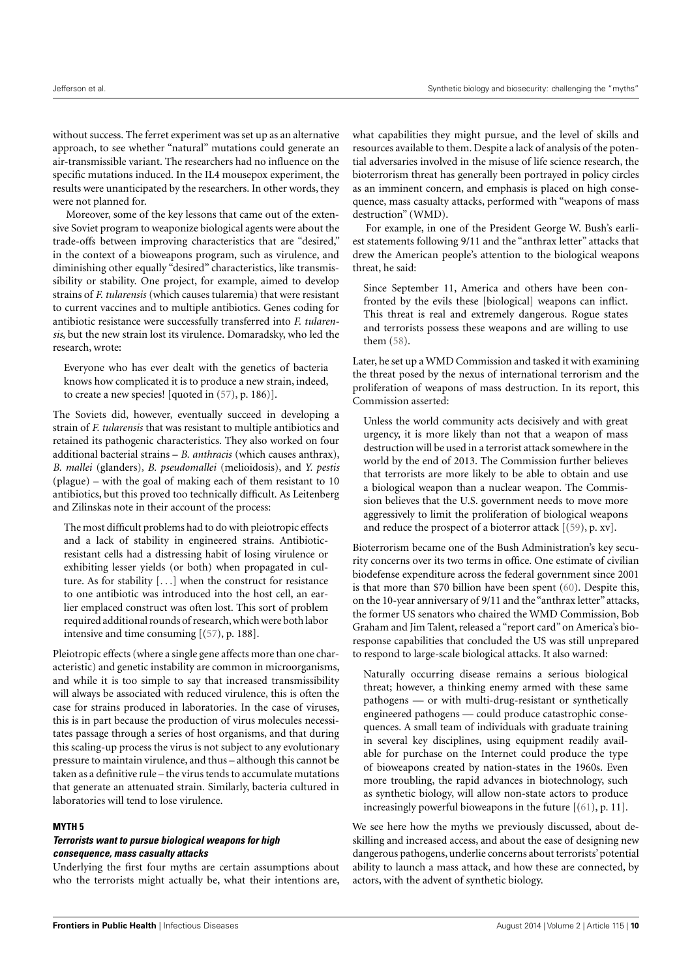without success. The ferret experiment was set up as an alternative approach, to see whether "natural" mutations could generate an air-transmissible variant. The researchers had no influence on the specific mutations induced. In the IL4 mousepox experiment, the results were unanticipated by the researchers. In other words, they were not planned for.

Moreover, some of the key lessons that came out of the extensive Soviet program to weaponize biological agents were about the trade-offs between improving characteristics that are "desired," in the context of a bioweapons program, such as virulence, and diminishing other equally "desired" characteristics, like transmissibility or stability. One project, for example, aimed to develop strains of *F. tularensis* (which causes tularemia) that were resistant to current vaccines and to multiple antibiotics. Genes coding for antibiotic resistance were successfully transferred into *F. tularensis*, but the new strain lost its virulence. Domaradsky, who led the research, wrote:

Everyone who has ever dealt with the genetics of bacteria knows how complicated it is to produce a new strain, indeed, to create a new species! [quoted in [\(57\)](#page-13-44), p. 186)].

The Soviets did, however, eventually succeed in developing a strain of *F. tularensis* that was resistant to multiple antibiotics and retained its pathogenic characteristics. They also worked on four additional bacterial strains – *B. anthracis* (which causes anthrax), *B. mallei* (glanders)*, B. pseudomallei* (melioidosis), and *Y. pestis* (plague) – with the goal of making each of them resistant to 10 antibiotics, but this proved too technically difficult. As Leitenberg and Zilinskas note in their account of the process:

The most difficult problems had to do with pleiotropic effects and a lack of stability in engineered strains. Antibioticresistant cells had a distressing habit of losing virulence or exhibiting lesser yields (or both) when propagated in culture. As for stability [. . .] when the construct for resistance to one antibiotic was introduced into the host cell, an earlier emplaced construct was often lost. This sort of problem required additional rounds of research,which were both labor intensive and time consuming [[\(57\)](#page-13-44), p. 188].

Pleiotropic effects (where a single gene affects more than one characteristic) and genetic instability are common in microorganisms, and while it is too simple to say that increased transmissibility will always be associated with reduced virulence, this is often the case for strains produced in laboratories. In the case of viruses, this is in part because the production of virus molecules necessitates passage through a series of host organisms, and that during this scaling-up process the virus is not subject to any evolutionary pressure to maintain virulence, and thus – although this cannot be taken as a definitive rule – the virus tends to accumulate mutations that generate an attenuated strain. Similarly, bacteria cultured in laboratories will tend to lose virulence.

# **MYTH 5**

# **Terrorists want to pursue biological weapons for high consequence, mass casualty attacks**

Underlying the first four myths are certain assumptions about who the terrorists might actually be, what their intentions are, what capabilities they might pursue, and the level of skills and resources available to them. Despite a lack of analysis of the potential adversaries involved in the misuse of life science research, the bioterrorism threat has generally been portrayed in policy circles as an imminent concern, and emphasis is placed on high consequence, mass casualty attacks, performed with "weapons of mass destruction" (WMD).

For example, in one of the President George W. Bush's earliest statements following 9/11 and the "anthrax letter" attacks that drew the American people's attention to the biological weapons threat, he said:

Since September 11, America and others have been confronted by the evils these [biological] weapons can inflict. This threat is real and extremely dangerous. Rogue states and terrorists possess these weapons and are willing to use them [\(58\)](#page-13-45).

Later, he set up a WMD Commission and tasked it with examining the threat posed by the nexus of international terrorism and the proliferation of weapons of mass destruction. In its report, this Commission asserted:

Unless the world community acts decisively and with great urgency, it is more likely than not that a weapon of mass destruction will be used in a terrorist attack somewhere in the world by the end of 2013. The Commission further believes that terrorists are more likely to be able to obtain and use a biological weapon than a nuclear weapon. The Commission believes that the U.S. government needs to move more aggressively to limit the proliferation of biological weapons and reduce the prospect of a bioterror attack [[\(59\)](#page-13-46), p. xv].

Bioterrorism became one of the Bush Administration's key security concerns over its two terms in office. One estimate of civilian biodefense expenditure across the federal government since 2001 is that more than \$70 billion have been spent [\(60\)](#page-13-47). Despite this, on the 10-year anniversary of 9/11 and the "anthrax letter" attacks, the former US senators who chaired the WMD Commission, Bob Graham and Jim Talent, released a "report card" on America's bioresponse capabilities that concluded the US was still unprepared to respond to large-scale biological attacks. It also warned:

Naturally occurring disease remains a serious biological threat; however, a thinking enemy armed with these same pathogens — or with multi-drug-resistant or synthetically engineered pathogens — could produce catastrophic consequences. A small team of individuals with graduate training in several key disciplines, using equipment readily available for purchase on the Internet could produce the type of bioweapons created by nation-states in the 1960s. Even more troubling, the rapid advances in biotechnology, such as synthetic biology, will allow non-state actors to produce increasingly powerful bioweapons in the future  $[(61), p. 11]$  $[(61), p. 11]$  $[(61), p. 11]$ .

We see here how the myths we previously discussed, about deskilling and increased access, and about the ease of designing new dangerous pathogens, underlie concerns about terrorists' potential ability to launch a mass attack, and how these are connected, by actors, with the advent of synthetic biology.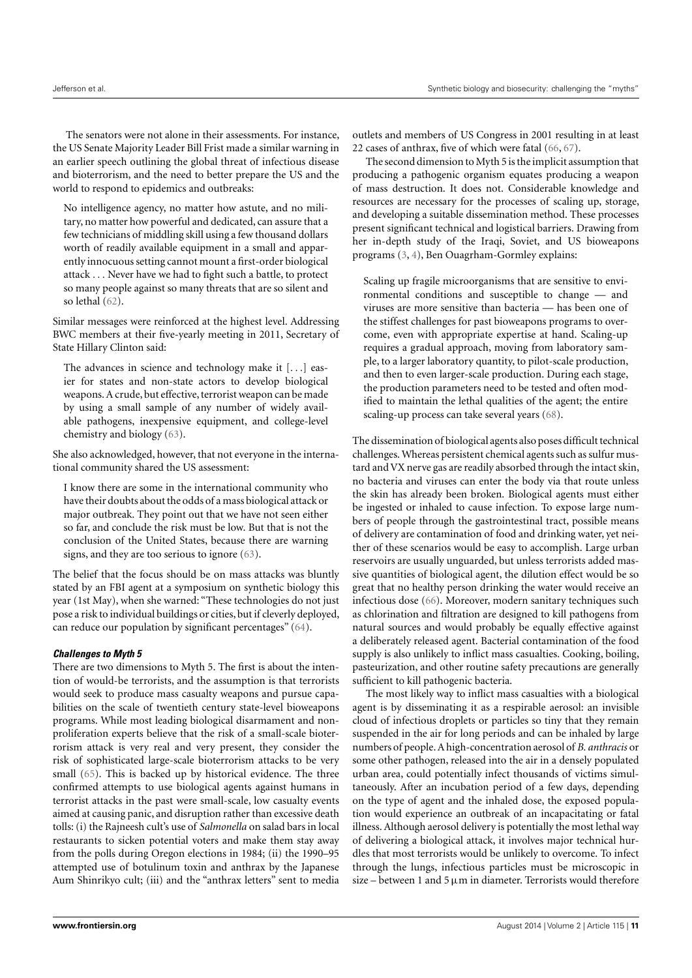The senators were not alone in their assessments. For instance, the US Senate Majority Leader Bill Frist made a similar warning in an earlier speech outlining the global threat of infectious disease and bioterrorism, and the need to better prepare the US and the world to respond to epidemics and outbreaks:

No intelligence agency, no matter how astute, and no military, no matter how powerful and dedicated, can assure that a few technicians of middling skill using a few thousand dollars worth of readily available equipment in a small and apparently innocuous setting cannot mount a first-order biological attack . . . Never have we had to fight such a battle, to protect so many people against so many threats that are so silent and so lethal [\(62\)](#page-14-1).

Similar messages were reinforced at the highest level. Addressing BWC members at their five-yearly meeting in 2011, Secretary of State Hillary Clinton said:

The advances in science and technology make it [...] easier for states and non-state actors to develop biological weapons. A crude, but effective, terrorist weapon can be made by using a small sample of any number of widely available pathogens, inexpensive equipment, and college-level chemistry and biology [\(63\)](#page-14-2).

She also acknowledged, however, that not everyone in the international community shared the US assessment:

I know there are some in the international community who have their doubts about the odds of a mass biological attack or major outbreak. They point out that we have not seen either so far, and conclude the risk must be low. But that is not the conclusion of the United States, because there are warning signs, and they are too serious to ignore [\(63\)](#page-14-2).

The belief that the focus should be on mass attacks was bluntly stated by an FBI agent at a symposium on synthetic biology this year (1st May), when she warned: "These technologies do not just pose a risk to individual buildings or cities, but if cleverly deployed, can reduce our population by significant percentages" [\(64\)](#page-14-3).

# **Challenges to Myth 5**

There are two dimensions to Myth 5. The first is about the intention of would-be terrorists, and the assumption is that terrorists would seek to produce mass casualty weapons and pursue capabilities on the scale of twentieth century state-level bioweapons programs. While most leading biological disarmament and nonproliferation experts believe that the risk of a small-scale bioterrorism attack is very real and very present, they consider the risk of sophisticated large-scale bioterrorism attacks to be very small [\(65\)](#page-14-4). This is backed up by historical evidence. The three confirmed attempts to use biological agents against humans in terrorist attacks in the past were small-scale, low casualty events aimed at causing panic, and disruption rather than excessive death tolls: (i) the Rajneesh cult's use of *Salmonella* on salad bars in local restaurants to sicken potential voters and make them stay away from the polls during Oregon elections in 1984; (ii) the 1990–95 attempted use of botulinum toxin and anthrax by the Japanese Aum Shinrikyo cult; (iii) and the "anthrax letters" sent to media

outlets and members of US Congress in 2001 resulting in at least 22 cases of anthrax, five of which were fatal [\(66,](#page-14-5) [67\)](#page-14-6).

The second dimension to Myth 5 is the implicit assumption that producing a pathogenic organism equates producing a weapon of mass destruction. It does not. Considerable knowledge and resources are necessary for the processes of scaling up, storage, and developing a suitable dissemination method. These processes present significant technical and logistical barriers. Drawing from her in-depth study of the Iraqi, Soviet, and US bioweapons programs [\(3,](#page-12-2) [4\)](#page-12-11), Ben Ouagrham-Gormley explains:

Scaling up fragile microorganisms that are sensitive to environmental conditions and susceptible to change — and viruses are more sensitive than bacteria — has been one of the stiffest challenges for past bioweapons programs to overcome, even with appropriate expertise at hand. Scaling-up requires a gradual approach, moving from laboratory sample, to a larger laboratory quantity, to pilot-scale production, and then to even larger-scale production. During each stage, the production parameters need to be tested and often modified to maintain the lethal qualities of the agent; the entire scaling-up process can take several years [\(68\)](#page-14-7).

The dissemination of biological agents also poses difficult technical challenges. Whereas persistent chemical agents such as sulfur mustard and VX nerve gas are readily absorbed through the intact skin, no bacteria and viruses can enter the body via that route unless the skin has already been broken. Biological agents must either be ingested or inhaled to cause infection. To expose large numbers of people through the gastrointestinal tract, possible means of delivery are contamination of food and drinking water, yet neither of these scenarios would be easy to accomplish. Large urban reservoirs are usually unguarded, but unless terrorists added massive quantities of biological agent, the dilution effect would be so great that no healthy person drinking the water would receive an infectious dose [\(66\)](#page-14-5). Moreover, modern sanitary techniques such as chlorination and filtration are designed to kill pathogens from natural sources and would probably be equally effective against a deliberately released agent. Bacterial contamination of the food supply is also unlikely to inflict mass casualties. Cooking, boiling, pasteurization, and other routine safety precautions are generally sufficient to kill pathogenic bacteria.

The most likely way to inflict mass casualties with a biological agent is by disseminating it as a respirable aerosol: an invisible cloud of infectious droplets or particles so tiny that they remain suspended in the air for long periods and can be inhaled by large numbers of people. A high-concentration aerosol of *B. anthracis* or some other pathogen, released into the air in a densely populated urban area, could potentially infect thousands of victims simultaneously. After an incubation period of a few days, depending on the type of agent and the inhaled dose, the exposed population would experience an outbreak of an incapacitating or fatal illness. Although aerosol delivery is potentially the most lethal way of delivering a biological attack, it involves major technical hurdles that most terrorists would be unlikely to overcome. To infect through the lungs, infectious particles must be microscopic in size – between 1 and 5  $\mu$ m in diameter. Terrorists would therefore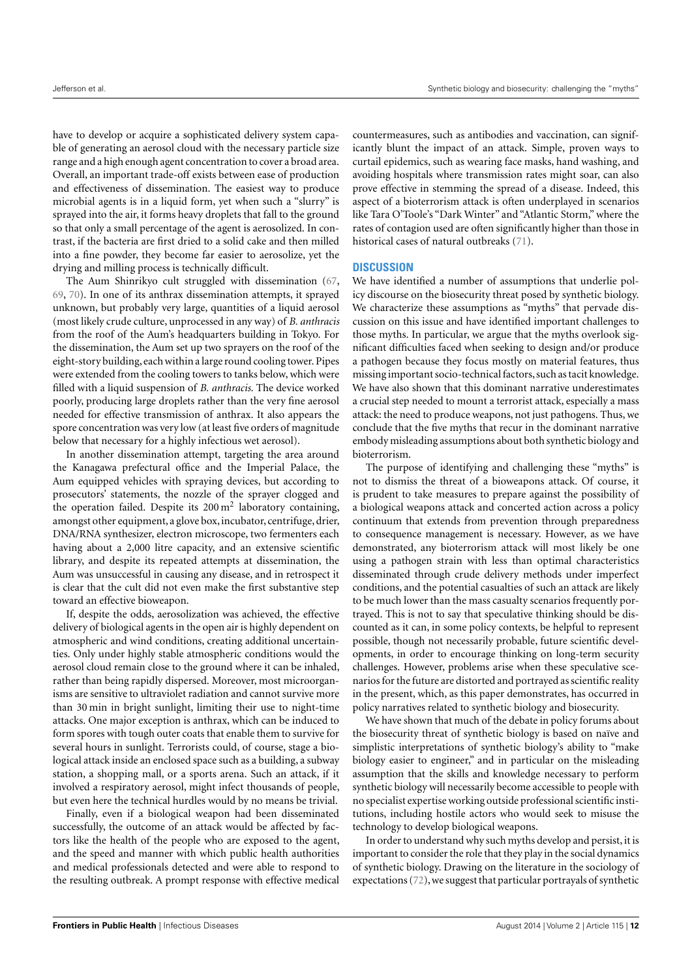have to develop or acquire a sophisticated delivery system capable of generating an aerosol cloud with the necessary particle size range and a high enough agent concentration to cover a broad area. Overall, an important trade-off exists between ease of production and effectiveness of dissemination. The easiest way to produce microbial agents is in a liquid form, yet when such a "slurry" is sprayed into the air, it forms heavy droplets that fall to the ground so that only a small percentage of the agent is aerosolized. In contrast, if the bacteria are first dried to a solid cake and then milled into a fine powder, they become far easier to aerosolize, yet the drying and milling process is technically difficult.

The Aum Shinrikyo cult struggled with dissemination [\(67,](#page-14-6) [69,](#page-14-8) [70\)](#page-14-9). In one of its anthrax dissemination attempts, it sprayed unknown, but probably very large, quantities of a liquid aerosol (most likely crude culture, unprocessed in any way) of *B. anthracis* from the roof of the Aum's headquarters building in Tokyo. For the dissemination, the Aum set up two sprayers on the roof of the eight-story building,each within a large round cooling tower. Pipes were extended from the cooling towers to tanks below, which were filled with a liquid suspension of *B. anthracis*. The device worked poorly, producing large droplets rather than the very fine aerosol needed for effective transmission of anthrax. It also appears the spore concentration was very low (at least five orders of magnitude below that necessary for a highly infectious wet aerosol).

In another dissemination attempt, targeting the area around the Kanagawa prefectural office and the Imperial Palace, the Aum equipped vehicles with spraying devices, but according to prosecutors' statements, the nozzle of the sprayer clogged and the operation failed. Despite its  $200\,\mathrm{m}^2$  laboratory containing, amongst other equipment, a glove box, incubator, centrifuge, drier, DNA/RNA synthesizer, electron microscope, two fermenters each having about a 2,000 litre capacity, and an extensive scientific library, and despite its repeated attempts at dissemination, the Aum was unsuccessful in causing any disease, and in retrospect it is clear that the cult did not even make the first substantive step toward an effective bioweapon.

If, despite the odds, aerosolization was achieved, the effective delivery of biological agents in the open air is highly dependent on atmospheric and wind conditions, creating additional uncertainties. Only under highly stable atmospheric conditions would the aerosol cloud remain close to the ground where it can be inhaled, rather than being rapidly dispersed. Moreover, most microorganisms are sensitive to ultraviolet radiation and cannot survive more than 30 min in bright sunlight, limiting their use to night-time attacks. One major exception is anthrax, which can be induced to form spores with tough outer coats that enable them to survive for several hours in sunlight. Terrorists could, of course, stage a biological attack inside an enclosed space such as a building, a subway station, a shopping mall, or a sports arena. Such an attack, if it involved a respiratory aerosol, might infect thousands of people, but even here the technical hurdles would by no means be trivial.

Finally, even if a biological weapon had been disseminated successfully, the outcome of an attack would be affected by factors like the health of the people who are exposed to the agent, and the speed and manner with which public health authorities and medical professionals detected and were able to respond to the resulting outbreak. A prompt response with effective medical

countermeasures, such as antibodies and vaccination, can significantly blunt the impact of an attack. Simple, proven ways to curtail epidemics, such as wearing face masks, hand washing, and avoiding hospitals where transmission rates might soar, can also prove effective in stemming the spread of a disease. Indeed, this aspect of a bioterrorism attack is often underplayed in scenarios like Tara O'Toole's "Dark Winter" and "Atlantic Storm," where the rates of contagion used are often significantly higher than those in historical cases of natural outbreaks [\(71\)](#page-14-10).

# **DISCUSSION**

We have identified a number of assumptions that underlie policy discourse on the biosecurity threat posed by synthetic biology. We characterize these assumptions as "myths" that pervade discussion on this issue and have identified important challenges to those myths. In particular, we argue that the myths overlook significant difficulties faced when seeking to design and/or produce a pathogen because they focus mostly on material features, thus missing important socio-technical factors, such as tacit knowledge. We have also shown that this dominant narrative underestimates a crucial step needed to mount a terrorist attack, especially a mass attack: the need to produce weapons, not just pathogens. Thus, we conclude that the five myths that recur in the dominant narrative embody misleading assumptions about both synthetic biology and bioterrorism.

The purpose of identifying and challenging these "myths" is not to dismiss the threat of a bioweapons attack. Of course, it is prudent to take measures to prepare against the possibility of a biological weapons attack and concerted action across a policy continuum that extends from prevention through preparedness to consequence management is necessary. However, as we have demonstrated, any bioterrorism attack will most likely be one using a pathogen strain with less than optimal characteristics disseminated through crude delivery methods under imperfect conditions, and the potential casualties of such an attack are likely to be much lower than the mass casualty scenarios frequently portrayed. This is not to say that speculative thinking should be discounted as it can, in some policy contexts, be helpful to represent possible, though not necessarily probable, future scientific developments, in order to encourage thinking on long-term security challenges. However, problems arise when these speculative scenarios for the future are distorted and portrayed as scientific reality in the present, which, as this paper demonstrates, has occurred in policy narratives related to synthetic biology and biosecurity.

We have shown that much of the debate in policy forums about the biosecurity threat of synthetic biology is based on naïve and simplistic interpretations of synthetic biology's ability to "make biology easier to engineer," and in particular on the misleading assumption that the skills and knowledge necessary to perform synthetic biology will necessarily become accessible to people with no specialist expertise working outside professional scientific institutions, including hostile actors who would seek to misuse the technology to develop biological weapons.

In order to understand why such myths develop and persist, it is important to consider the role that they play in the social dynamics of synthetic biology. Drawing on the literature in the sociology of expectations [\(72\)](#page-14-11), we suggest that particular portrayals of synthetic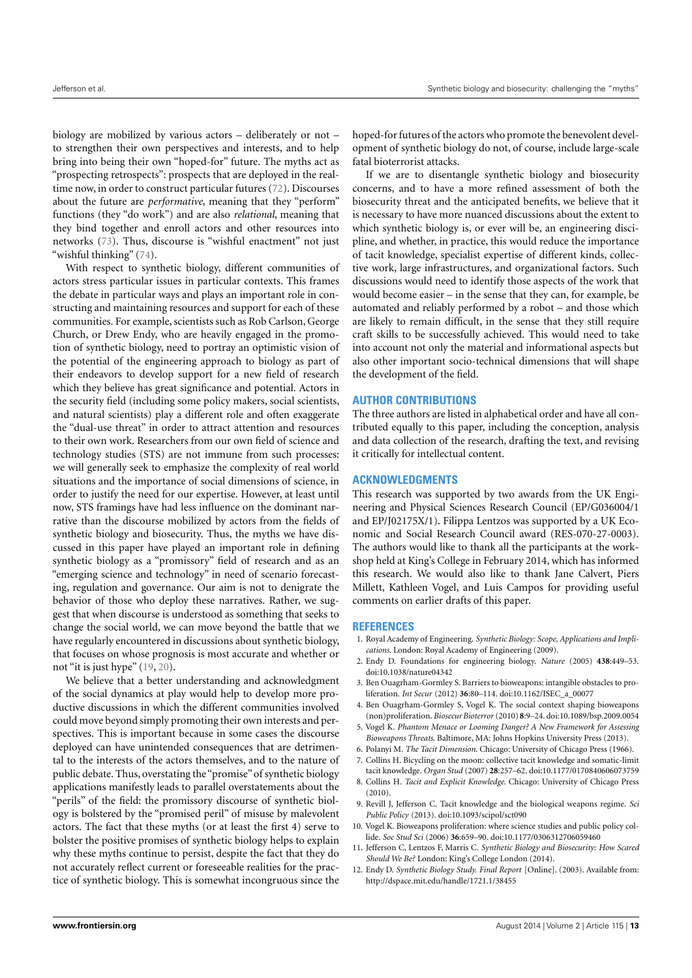biology are mobilized by various actors – deliberately or not – to strengthen their own perspectives and interests, and to help bring into being their own "hoped-for" future. The myths act as "prospecting retrospects": prospects that are deployed in the realtime now, in order to construct particular futures [\(72\)](#page-14-11). Discourses about the future are *performative*, meaning that they "perform" functions (they "do work") and are also *relational*, meaning that they bind together and enroll actors and other resources into networks [\(73\)](#page-14-12). Thus, discourse is "wishful enactment" not just "wishful thinking" [\(74\)](#page-14-13).

With respect to synthetic biology, different communities of actors stress particular issues in particular contexts. This frames the debate in particular ways and plays an important role in constructing and maintaining resources and support for each of these communities. For example, scientists such as Rob Carlson, George Church, or Drew Endy, who are heavily engaged in the promotion of synthetic biology, need to portray an optimistic vision of the potential of the engineering approach to biology as part of their endeavors to develop support for a new field of research which they believe has great significance and potential. Actors in the security field (including some policy makers, social scientists, and natural scientists) play a different role and often exaggerate the "dual-use threat" in order to attract attention and resources to their own work. Researchers from our own field of science and technology studies (STS) are not immune from such processes: we will generally seek to emphasize the complexity of real world situations and the importance of social dimensions of science, in order to justify the need for our expertise. However, at least until now, STS framings have had less influence on the dominant narrative than the discourse mobilized by actors from the fields of synthetic biology and biosecurity. Thus, the myths we have discussed in this paper have played an important role in defining synthetic biology as a "promissory" field of research and as an "emerging science and technology" in need of scenario forecasting, regulation and governance. Our aim is not to denigrate the behavior of those who deploy these narratives. Rather, we suggest that when discourse is understood as something that seeks to change the social world, we can move beyond the battle that we have regularly encountered in discussions about synthetic biology, that focuses on whose prognosis is most accurate and whether or not "it is just hype" [\(19,](#page-13-6) [20\)](#page-13-7).

We believe that a better understanding and acknowledgment of the social dynamics at play would help to develop more productive discussions in which the different communities involved could move beyond simply promoting their own interests and perspectives. This is important because in some cases the discourse deployed can have unintended consequences that are detrimental to the interests of the actors themselves, and to the nature of public debate. Thus, overstating the"promise"of synthetic biology applications manifestly leads to parallel overstatements about the "perils" of the field: the promissory discourse of synthetic biology is bolstered by the "promised peril" of misuse by malevolent actors. The fact that these myths (or at least the first 4) serve to bolster the positive promises of synthetic biology helps to explain why these myths continue to persist, despite the fact that they do not accurately reflect current or foreseeable realities for the practice of synthetic biology. This is somewhat incongruous since the

hoped-for futures of the actors who promote the benevolent development of synthetic biology do not, of course, include large-scale fatal bioterrorist attacks.

If we are to disentangle synthetic biology and biosecurity concerns, and to have a more refined assessment of both the biosecurity threat and the anticipated benefits, we believe that it is necessary to have more nuanced discussions about the extent to which synthetic biology is, or ever will be, an engineering discipline, and whether, in practice, this would reduce the importance of tacit knowledge, specialist expertise of different kinds, collective work, large infrastructures, and organizational factors. Such discussions would need to identify those aspects of the work that would become easier – in the sense that they can, for example, be automated and reliably performed by a robot – and those which are likely to remain difficult, in the sense that they still require craft skills to be successfully achieved. This would need to take into account not only the material and informational aspects but also other important socio-technical dimensions that will shape the development of the field.

# **AUTHOR CONTRIBUTIONS**

The three authors are listed in alphabetical order and have all contributed equally to this paper, including the conception, analysis and data collection of the research, drafting the text, and revising it critically for intellectual content.

#### **ACKNOWLEDGMENTS**

This research was supported by two awards from the UK Engineering and Physical Sciences Research Council (EP/G036004/1 and EP/J02175X/1). Filippa Lentzos was supported by a UK Economic and Social Research Council award (RES-070-27-0003). The authors would like to thank all the participants at the workshop held at King's College in February 2014, which has informed this research. We would also like to thank Jane Calvert, Piers Millett, Kathleen Vogel, and Luis Campos for providing useful comments on earlier drafts of this paper.

#### **REFERENCES**

- <span id="page-12-0"></span>1. Royal Academy of Engineering. *Synthetic Biology: Scope, Applications and Implications*. London: Royal Academy of Engineering (2009).
- <span id="page-12-1"></span>2. Endy D. Foundations for engineering biology. *Nature* (2005) **438**:449–53. doi[:10.1038/nature04342](http://dx.doi.org/10.1038/nature04342)
- <span id="page-12-2"></span>3. Ben Ouagrham-Gormley S. Barriers to bioweapons: intangible obstacles to proliferation. *Int Secur* (2012) **36**:80–114. doi[:10.1162/ISEC\\_a\\_00077](http://dx.doi.org/10.1162/ISEC_a_00077)
- <span id="page-12-11"></span>4. Ben Ouagrham-Gormley S, Vogel K. The social context shaping bioweapons (non)proliferation. *Biosecur Bioterror* (2010) **8**:9–24. doi[:10.1089/bsp.2009.0054](http://dx.doi.org/10.1089/bsp.2009.0054)
- <span id="page-12-3"></span>5. Vogel K. *Phantom Menace or Looming Danger? A New Framework for Assessing Bioweapons Threats*. Baltimore, MA: Johns Hopkins University Press (2013).
- <span id="page-12-4"></span>6. Polanyi M. *The Tacit Dimension*. Chicago: University of Chicago Press (1966).
- <span id="page-12-5"></span>7. Collins H. Bicycling on the moon: collective tacit knowledge and somatic-limit tacit knowledge. *Organ Stud* (2007) **28**:257–62. doi[:10.1177/0170840606073759](http://dx.doi.org/10.1177/0170840606073759)
- <span id="page-12-6"></span>8. Collins H. *Tacit and Explicit Knowledge*. Chicago: University of Chicago Press (2010).
- <span id="page-12-7"></span>9. Revill J, Jefferson C. Tacit knowledge and the biological weapons regime. *Sci Public Policy* (2013). doi[:10.1093/scipol/sct090](http://dx.doi.org/10.1093/scipol/sct090)
- <span id="page-12-8"></span>10. Vogel K. Bioweapons proliferation: where science studies and public policy collide. *Soc Stud Sci* (2006) **36**:659–90. doi[:10.1177/0306312706059460](http://dx.doi.org/10.1177/0306312706059460)
- <span id="page-12-9"></span>11. Jefferson C, Lentzos F, Marris C. *Synthetic Biology and Biosecurity: How Scared Should We Be?* London: King's College London (2014).
- <span id="page-12-10"></span>12. Endy D. *Synthetic Biology Study. Final Report* [Online]. (2003). Available from: <http://dspace.mit.edu/handle/1721.1/38455>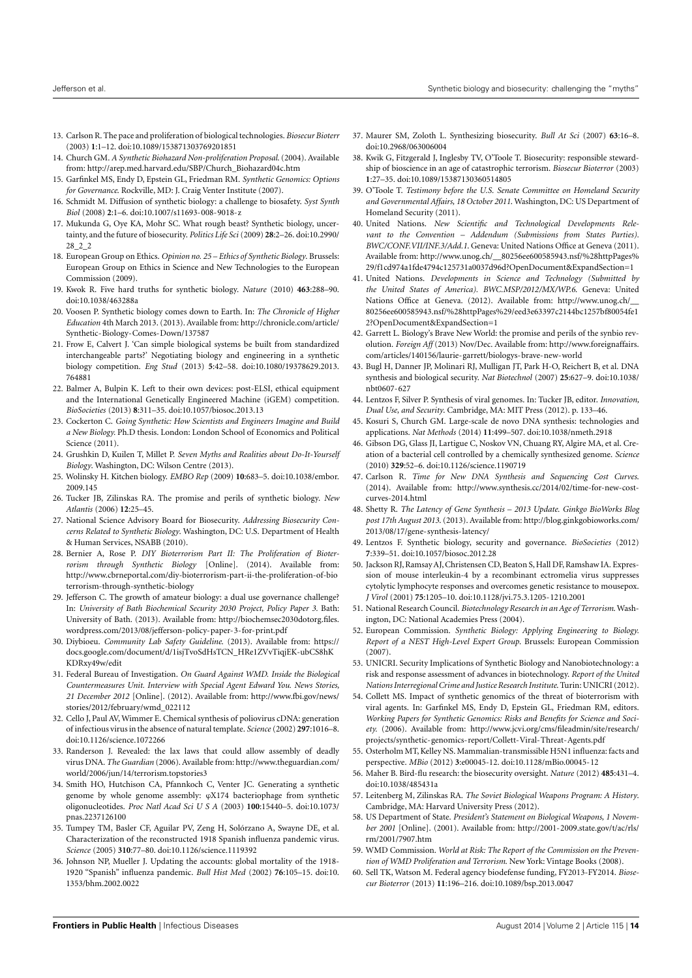- <span id="page-13-0"></span>13. Carlson R. The pace and proliferation of biological technologies. *Biosecur Bioterr* (2003) **1**:1–12. doi[:10.1089/153871303769201851](http://dx.doi.org/10.1089/153871303769201851)
- <span id="page-13-1"></span>14. Church GM. *A Synthetic Biohazard Non-proliferation Proposal*. (2004). Available from: [http://arep.med.harvard.edu/SBP/Church\\_Biohazard04c.htm](http://arep.med.harvard.edu/SBP/Church_Biohazard04c.htm)
- <span id="page-13-2"></span>15. Garfinkel MS, Endy D, Epstein GL, Friedman RM. *Synthetic Genomics: Options for Governance*. Rockville, MD: J. Craig Venter Institute (2007).
- <span id="page-13-3"></span>16. Schmidt M. Diffusion of synthetic biology: a challenge to biosafety. *Syst Synth Biol* (2008) **2**:1–6. doi[:10.1007/s11693-008-9018-z](http://dx.doi.org/10.1007/s11693-008-9018-z)
- <span id="page-13-4"></span>17. Mukunda G, Oye KA, Mohr SC. What rough beast? Synthetic biology, uncertainty, and the future of biosecurity. *Politics Life Sci* (2009) **28**:2–26. doi[:10.2990/](http://dx.doi.org/10.2990/28_2_2) [28\\_2\\_2](http://dx.doi.org/10.2990/28_2_2)
- <span id="page-13-5"></span>18. European Group on Ethics. *Opinion no. 25 – Ethics of Synthetic Biology*. Brussels: European Group on Ethics in Science and New Technologies to the European Commission (2009).
- <span id="page-13-6"></span>19. Kwok R. Five hard truths for synthetic biology. *Nature* (2010) **463**:288–90. doi[:10.1038/463288a](http://dx.doi.org/10.1038/463288a)
- <span id="page-13-7"></span>20. Voosen P. Synthetic biology comes down to Earth. In: *The Chronicle of Higher Education* 4th March 2013. (2013). Available from: [http://chronicle.com/article/](http://chronicle.com/article/Synthetic-Biology-Comes-Down/137587) [Synthetic-Biology-Comes-Down/137587](http://chronicle.com/article/Synthetic-Biology-Comes-Down/137587)
- <span id="page-13-8"></span>21. Frow E, Calvert J. 'Can simple biological systems be built from standardized interchangeable parts?' Negotiating biology and engineering in a synthetic biology competition. *Eng Stud* (2013) **5**:42–58. doi[:10.1080/19378629.2013.](http://dx.doi.org/10.1080/19378629.2013.764881) [764881](http://dx.doi.org/10.1080/19378629.2013.764881)
- <span id="page-13-9"></span>22. Balmer A, Bulpin K. Left to their own devices: post-ELSI, ethical equipment and the International Genetically Engineered Machine (iGEM) competition. *BioSocieties* (2013) **8**:311–35. doi[:10.1057/biosoc.2013.13](http://dx.doi.org/10.1057/biosoc.2013.13)
- <span id="page-13-10"></span>23. Cockerton C. *Going Synthetic: How Scientists and Engineers Imagine and Build a New Biology.* Ph.D thesis. London: London School of Economics and Political Science (2011).
- <span id="page-13-11"></span>24. Grushkin D, Kuilen T, Millet P. *Seven Myths and Realities about Do-It-Yourself Biology*. Washington, DC: Wilson Centre (2013).
- <span id="page-13-12"></span>25. Wolinsky H. Kitchen biology. *EMBO Rep* (2009) **10**:683–5. doi[:10.1038/embor.](http://dx.doi.org/10.1038/embor.2009.145) [2009.145](http://dx.doi.org/10.1038/embor.2009.145)
- <span id="page-13-13"></span>26. Tucker JB, Zilinskas RA. The promise and perils of synthetic biology. *New Atlantis* (2006) **12**:25–45.
- <span id="page-13-14"></span>27. National Science Advisory Board for Biosecurity. *Addressing Biosecurity Concerns Related to Synthetic Biology*. Washington, DC: U.S. Department of Health & Human Services, NSABB (2010).
- <span id="page-13-15"></span>28. Bernier A, Rose P. *DIY Bioterrorism Part II: The Proliferation of Bioterrorism through Synthetic Biology* [Online]. (2014). Available from: [http://www.cbrneportal.com/diy-bioterrorism-part-ii-the-proliferation-of-bio](http://www.cbrneportal.com/diy-bioterrorism-part-ii-the-proliferation-of-bioterrorism-through-synthetic-biology) [terrorism-through-synthetic-biology](http://www.cbrneportal.com/diy-bioterrorism-part-ii-the-proliferation-of-bioterrorism-through-synthetic-biology)
- <span id="page-13-16"></span>29. Jefferson C. The growth of amateur biology: a dual use governance challenge? In: *University of Bath Biochemical Security 2030 Project, Policy Paper 3.* Bath: University of Bath. (2013). Available from: [http://biochemsec2030dotorg.files.](http://biochemsec2030dotorg.files.wordpress.com/2013/08/jefferson-policy-paper-3-for-print.pdf) [wordpress.com/2013/08/jefferson-policy-paper-3-for-print.pdf](http://biochemsec2030dotorg.files.wordpress.com/2013/08/jefferson-policy-paper-3-for-print.pdf)
- <span id="page-13-17"></span>30. Diybioeu. *Community Lab Safety Guideline*. (2013). Available from: [https://](https://docs.google.com/document/d/1isjTvoSdHsTCN_HRe1ZVvTiqjEK-ubCS8hKKDRxy49w/edit) [docs.google.com/document/d/1isjTvoSdHsTCN\\_HRe1ZVvTiqjEK-ubCS8hK](https://docs.google.com/document/d/1isjTvoSdHsTCN_HRe1ZVvTiqjEK-ubCS8hKKDRxy49w/edit) [KDRxy49w/edit](https://docs.google.com/document/d/1isjTvoSdHsTCN_HRe1ZVvTiqjEK-ubCS8hKKDRxy49w/edit)
- <span id="page-13-18"></span>31. Federal Bureau of Investigation. *On Guard Against WMD. Inside the Biological Countermeasures Unit. Interview with Special Agent Edward You. News Stories, 21 December 2012* [Online]. (2012). Available from: [http://www.fbi.gov/news/](http://www.fbi.gov/news/stories/2012/february/wmd_022112) [stories/2012/february/wmd\\_022112](http://www.fbi.gov/news/stories/2012/february/wmd_022112)
- <span id="page-13-19"></span>32. Cello J, Paul AV, Wimmer E. Chemical synthesis of poliovirus cDNA: generation of infectious virus in the absence of natural template. *Science* (2002) **297**:1016–8. doi[:10.1126/science.1072266](http://dx.doi.org/10.1126/science.1072266)
- <span id="page-13-20"></span>33. Randerson J. Revealed: the lax laws that could allow assembly of deadly virus DNA. *The Guardian* (2006). Available from: [http://www.theguardian.com/](http://www.theguardian.com/world/2006/jun/14/terrorism.topstories3) [world/2006/jun/14/terrorism.topstories3](http://www.theguardian.com/world/2006/jun/14/terrorism.topstories3)
- <span id="page-13-21"></span>34. Smith HO, Hutchison CA, Pfannkoch C, Venter JC. Generating a synthetic genome by whole genome assembly: ϕX174 bacteriophage from synthetic oligonucleotides. *Proc Natl Acad Sci U S A* (2003) **100**:15440–5. doi[:10.1073/](http://dx.doi.org/10.1073/pnas.2237126100) [pnas.2237126100](http://dx.doi.org/10.1073/pnas.2237126100)
- <span id="page-13-22"></span>35. Tumpey TM, Basler CF, Aguilar PV, Zeng H, Solórzano A, Swayne DE, et al. Characterization of the reconstructed 1918 Spanish influenza pandemic virus. *Science* (2005) **310**:77–80. doi[:10.1126/science.1119392](http://dx.doi.org/10.1126/science.1119392)
- <span id="page-13-23"></span>36. Johnson NP, Mueller J. Updating the accounts: global mortality of the 1918- 1920 "Spanish" influenza pandemic. *Bull Hist Med* (2002) **76**:105–15. doi[:10.](http://dx.doi.org/10.1353/bhm.2002.0022) [1353/bhm.2002.0022](http://dx.doi.org/10.1353/bhm.2002.0022)
- <span id="page-13-24"></span>37. Maurer SM, Zoloth L. Synthesizing biosecurity. *Bull At Sci* (2007) **63**:16–8. doi[:10.2968/063006004](http://dx.doi.org/10.2968/063006004)
- <span id="page-13-25"></span>38. Kwik G, Fitzgerald J, Inglesby TV, O'Toole T. Biosecurity: responsible stewardship of bioscience in an age of catastrophic terrorism. *Biosecur Bioterror* (2003) **1**:27–35. doi[:10.1089/15387130360514805](http://dx.doi.org/10.1089/15387130360514805)
- <span id="page-13-26"></span>39. O'Toole T. *Testimony before the U.S. Senate Committee on Homeland Security and Governmental Affairs, 18 October 2011*. Washington, DC: US Department of Homeland Security (2011).
- <span id="page-13-27"></span>40. United Nations. *New Scientific and Technological Developments Relevant to the Convention – Addendum (Submissions from States Parties). BWC/CONF.VII/INF.3/Add.1*. Geneva: United Nations Office at Geneva (2011). Available from: [http://www.unog.ch/\\_\\_80256ee600585943.nsf/%28httpPages%](http://www.unog.ch/__80256ee600585943.nsf/%28httpPages%29/f1cd974a1fde4794c125731a0037d96d?OpenDocument&ExpandSection=1) [29/f1cd974a1fde4794c125731a0037d96d?OpenDocument&ExpandSection=1](http://www.unog.ch/__80256ee600585943.nsf/%28httpPages%29/f1cd974a1fde4794c125731a0037d96d?OpenDocument&ExpandSection=1)
- <span id="page-13-28"></span>41. United Nations. *Developments in Science and Technology (Submitted by the United States of America). BWC.MSP/2012/MX/WP.6*. Geneva: United Nations Office at Geneva. (2012). Available from: [http://www.unog.ch/\\_\\_](http://www.unog.ch/__80256ee600585943.nsf/%28httpPages%29/eed3e63397c2144bc1257bf80054fe12?OpenDocument&ExpandSection=1) [80256ee600585943.nsf/%28httpPages%29/eed3e63397c2144bc1257bf80054fe1](http://www.unog.ch/__80256ee600585943.nsf/%28httpPages%29/eed3e63397c2144bc1257bf80054fe12?OpenDocument&ExpandSection=1) [2?OpenDocument&ExpandSection=1](http://www.unog.ch/__80256ee600585943.nsf/%28httpPages%29/eed3e63397c2144bc1257bf80054fe12?OpenDocument&ExpandSection=1)
- <span id="page-13-29"></span>42. Garrett L. Biology's Brave New World: the promise and perils of the synbio revolution. *Foreign Aff* (2013) Nov/Dec. Available from: [http://www.foreignaffairs.](http://www.foreignaffairs.com/articles/140156/laurie-garrett/biologys-brave-new-world) [com/articles/140156/laurie-garrett/biologys-brave-new-world](http://www.foreignaffairs.com/articles/140156/laurie-garrett/biologys-brave-new-world)
- <span id="page-13-30"></span>43. Bugl H, Danner JP, Molinari RJ, Mulligan JT, Park H-O, Reichert B, et al. DNA synthesis and biological security. *Nat Biotechnol* (2007) **25**:627–9. doi[:10.1038/](http://dx.doi.org/10.1038/nbt0607-627) [nbt0607-627](http://dx.doi.org/10.1038/nbt0607-627)
- <span id="page-13-31"></span>44. Lentzos F, Silver P. Synthesis of viral genomes. In: Tucker JB, editor. *Innovation, Dual Use, and Security*. Cambridge, MA: MIT Press (2012). p. 133–46.
- <span id="page-13-32"></span>45. Kosuri S, Church GM. Large-scale de novo DNA synthesis: technologies and applications. *Nat Methods* (2014) **11**:499–507. doi[:10.1038/nmeth.2918](http://dx.doi.org/10.1038/nmeth.2918)
- <span id="page-13-33"></span>46. Gibson DG, Glass JI, Lartigue C, Noskov VN, Chuang RY, Algire MA, et al. Creation of a bacterial cell controlled by a chemically synthesized genome. *Science* (2010) **329**:52–6. doi[:10.1126/science.1190719](http://dx.doi.org/10.1126/science.1190719)
- <span id="page-13-34"></span>47. Carlson R. *Time for New DNA Synthesis and Sequencing Cost Curves*. (2014). Available from: [http://www.synthesis.cc/2014/02/time-for-new-cost](http://www.synthesis.cc/2014/02/time-for-new-cost-curves-2014.html)[curves-2014.html](http://www.synthesis.cc/2014/02/time-for-new-cost-curves-2014.html)
- <span id="page-13-35"></span>48. Shetty R. *The Latency of Gene Synthesis – 2013 Update. Ginkgo BioWorks Blog post 17th August 2013*. (2013). Available from: [http://blog.ginkgobioworks.com/](http://blog.ginkgobioworks.com/2013/08/17/gene-synthesis-latency/) [2013/08/17/gene-synthesis-latency/](http://blog.ginkgobioworks.com/2013/08/17/gene-synthesis-latency/)
- <span id="page-13-36"></span>49. Lentzos F. Synthetic biology, security and governance. *BioSocieties* (2012) **7**:339–51. doi[:10.1057/biosoc.2012.28](http://dx.doi.org/10.1057/biosoc.2012.28)
- <span id="page-13-37"></span>50. Jackson RJ, Ramsay AJ, Christensen CD, Beaton S, Hall DF, Ramshaw IA. Expression of mouse interleukin-4 by a recombinant ectromelia virus suppresses cytolytic lymphocyte responses and overcomes genetic resistance to mousepox. *J Virol* (2001) **75**:1205–10. doi[:10.1128/jvi.75.3.1205-1210.2001](http://dx.doi.org/10.1128/jvi.75.3.1205-1210.2001)
- <span id="page-13-38"></span>51. National Research Council. *Biotechnology Research in an Age of Terrorism*. Washington, DC: National Academies Press (2004).
- <span id="page-13-39"></span>52. European Commission. *Synthetic Biology: Applying Engineering to Biology. Report of a NEST High-Level Expert Group*. Brussels: European Commission (2007).
- <span id="page-13-40"></span>53. UNICRI. Security Implications of Synthetic Biology and Nanobiotechnology: a risk and response assessment of advances in biotechnology. *Report of the United Nations Interregional Crime and Justice Research Institute*. Turin: UNICRI (2012).
- <span id="page-13-41"></span>54. Collett MS. Impact of synthetic genomics of the threat of bioterrorism with viral agents. In: Garfinkel MS, Endy D, Epstein GL, Friedman RM, editors. *Working Papers for Synthetic Genomics: Risks and Benefits for Science and Society.* (2006). Available from: [http://www.jcvi.org/cms/fileadmin/site/research/](http://www.jcvi.org/cms/fileadmin/site/research/projects/synthetic-genomics-report/Collett-Viral-Threat-Agents.pdf) [projects/synthetic-genomics-report/Collett-Viral-Threat-Agents.pdf](http://www.jcvi.org/cms/fileadmin/site/research/projects/synthetic-genomics-report/Collett-Viral-Threat-Agents.pdf)
- <span id="page-13-42"></span>55. Osterholm MT, Kelley NS. Mammalian-transmissible H5N1 influenza: facts and perspective. *MBio* (2012) **3**:e00045-12. doi[:10.1128/mBio.00045-12](http://dx.doi.org/10.1128/mBio.00045-12)
- <span id="page-13-43"></span>56. Maher B. Bird-flu research: the biosecurity oversight. *Nature* (2012) **485**:431–4. doi[:10.1038/485431a](http://dx.doi.org/10.1038/485431a)
- <span id="page-13-44"></span>57. Leitenberg M, Zilinskas RA. *The Soviet Biological Weapons Program: A History*. Cambridge, MA: Harvard University Press (2012).
- <span id="page-13-45"></span>58. US Department of State. *President's Statement on Biological Weapons, 1 November 2001* [Online]. (2001). Available from: [http://2001-2009.state.gov/t/ac/rls/](http://2001-2009.state.gov/t/ac/rls/rm/2001/7907.htm) [rm/2001/7907.htm](http://2001-2009.state.gov/t/ac/rls/rm/2001/7907.htm)
- <span id="page-13-46"></span>59. WMD Commission. *World at Risk: The Report of the Commission on the Prevention of WMD Proliferation and Terrorism*. New York: Vintage Books (2008).
- <span id="page-13-47"></span>60. Sell TK, Watson M. Federal agency biodefense funding, FY2013-FY2014. *Biosecur Bioterror* (2013) **11**:196–216. doi[:10.1089/bsp.2013.0047](http://dx.doi.org/10.1089/bsp.2013.0047)